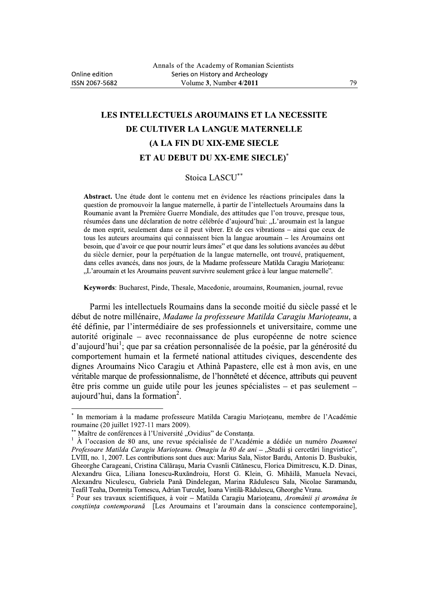## LES INTELLECTUELS AROUMAINS ET LA NECESSITE DE CULTIVER LA LANGUE MATERNELLE (A LA FIN DU XIX-EME SIECLE ET AU DEBUT DU XX-EME SIECLE)\*

## Stoica LASCU\*\*

Abstract. Une étude dont le contenu met en évidence les réactions principales dans la question de promouvoir la langue maternelle, à partir de l'intellectuels Aroumains dans la Roumanie avant la Première Guerre Mondiale, des attitudes que l'on trouve, presque tous, résumées dans une déclaration de notre célébrée d'aujourd'hui: "L'aroumain est la langue de mon esprit, seulement dans ce il peut vibrer. Et de ces vibrations – ainsi que ceux de tous les auteurs aroumains qui connaissent bien la langue aroumain – les Aroumains ont besoin, que d'avoir ce que pour nourrir leurs âmes" et que dans les solutions avancées au début du siècle dernier, pour la perpétuation de la langue maternelle, ont trouvé, pratiquement, dans celles avancés, dans nos jours, de la Madame professeure Matilda Caragiu Marioteanu: "L'aroumain et les Aroumains peuvent survivre seulement grâce à leur langue maternelle".

Keywords: Bucharest, Pinde, Thesale, Macedonie, aroumains, Roumanien, journal, revue

Parmi les intellectuels Roumains dans la seconde moitié du siècle passé et le début de notre millénaire, Madame la professeure Matilda Caragiu Marioțeanu, a été définie, par l'intermédiaire de ses professionnels et universitaire, comme une autorité originale – avec reconnaissance de plus européenne de notre science d'aujourd'hui<sup>1</sup>; que par sa création personnalisée de la poésie, par la générosité du comportement humain et la fermeté national attitudes civiques, descendente des dignes Aroumains Nico Caragiu et Athinà Papastere, elle est à mon avis, en une véritable marque de professionnalisme, de l'honnêteté et décence, attributs qui peuvent être pris comme un guide utile pour les jeunes spécialistes – et pas seulement – aujourd'hui, dans la formation<sup>2</sup>.

In memoriam à la madame professeure Matilda Caragiu Marioteanu, membre de l'Académie roumaine (20 juillet 1927-11 mars 2009).

Maître de conférences à l'Université "Ovidius" de Constanța.

 $\bf 1$ À l'occasion de 80 ans, une revue spécialisée de l'Académie a dédiée un numéro Doamnei Profesoare Matilda Caragiu Marioțeanu. Omagiu la 80 de ani - "Studii și cercetări lingvistice", LVIII, no. 1, 2007. Les contributions sont dues aux: Marius Sala, Nistor Bardu, Antonis D. Busbukis, Gheorghe Carageani, Cristina Călărașu, Maria Cvasnîi Cătănescu, Florica Dimitrescu, K.D. Dinas, Alexandru Gica, Liliana Ionescu-Ruxăndroiu, Horst G. Klein, G. Mihăilă, Manuela Nevaci, Alexandru Niculescu, Gabriela Pană Dindelegan, Marina Rădulescu Sala, Nicolae Saramandu, Teafil Teaha, Domnița Tomescu, Adrian Turculeț, Ioana Vintilă-Rădulescu, Gheorghe Vrana.

Pour ses travaux scientifiques, à voir - Matilda Caragiu Marioțeanu, Aromânii și aromâna în constiința contemporană [Les Aroumains et l'aroumain dans la conscience contemporaine],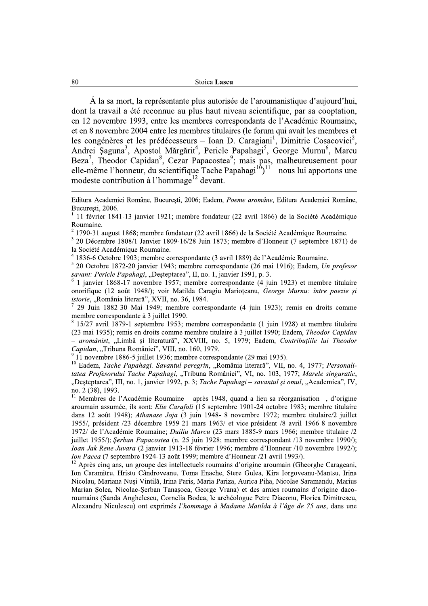Á la sa mort, la représentante plus autorisée de l'aroumanistique d'aujourd'hui, dont la travail a été reconnue au plus haut niveau scientifique, par sa cooptation, en 12 novembre 1993, entre les membres correspondants de l'Académie Roumaine, et en 8 novembre 2004 entre les membres titulaires (le forum qui avait les membres et les congénères et les prédécesseurs - Ioan D. Caragiani<sup>1</sup>, Dimitrie Cosacovici<sup>2</sup>, Andrei Șaguna<sup>3</sup>, Apostol Mărgărit<sup>4</sup>, Pericle Papahagi<sup>5</sup>, George Murnu<sup>6</sup>, Marcu Beza<sup>7</sup>, Theodor Capidan<sup>8</sup>, Cezar Papacostea<sup>9</sup>; mais pas, malheureusement pour elle-même l'honneur, du scientifique Tache Papahagi<sup>10</sup>)<sup>11</sup> – nous lui apportons une modeste contribution à l'hommage<sup>12</sup> devant.

1836-6 Octobre 1903; membre correspondante (3 avril 1889) de l'Académie Roumaine.

<sup>5</sup> 20 Octobre 1872-20 janvier 1943; membre correspondante (26 mai 1916); Eadem, Un profesor savant: Pericle Papahagi, "Desteptarea", II, no. 1, janvier 1991, p. 3.

1 janvier 1868-17 novembre 1957; membre correspondante (4 juin 1923) et membre titulaire onorifique (12 août 1948/); voir Matilda Caragiu Marioteanu, George Murnu: între poezie și istorie, "România literară", XVII, no. 36, 1984.

29 Juin 1882-30 Mai 1949; membre correspondante (4 juin 1923); remis en droits comme membre correspondante à 3 juillet 1990.

15/27 avril 1879-1 septembre 1953; membre correspondante (1 juin 1928) et membre titulaire (23 mai 1935); remis en droits comme membre titulaire à 3 juillet 1990; Eadem, Theodor Capidan - aromânist, "Limbă și literatură", XXVIII, no. 5, 1979; Eadem, Contribuțiile lui Theodor Capidan, "Tribuna României", VIII, no. 160, 1979.

11 novembre 1886-5 juillet 1936; membre correspondante (29 mai 1935).

<sup>10</sup> Eadem, Tache Papahagi. Savantul peregrin, "România literară", VII, no. 4, 1977; Personalitatea Profesorului Tache Papahagi, "Tribuna României", VI, no. 103, 1977; Marele singuratic, "Desteptarea", III, no. 1, janvier 1992, p. 3; Tache Papahagi - savantul și omul, "Academica", IV, no. 2 (38), 1993.

<sup>11</sup> Membres de l'Académie Roumaine – après 1948, quand a lieu sa réorganisation –, d'origine aroumain assumée, ils sont: Elie Carafoli (15 septembre 1901-24 octobre 1983; membre titulaire dans 12 août 1948); Athanase Joja (3 juin 1948- 8 novembre 1972; membre titulaire/2 juillet 1955/, président /23 décembre 1959-21 mars 1963/ et vice-président /8 avril 1966-8 novembre 1972/ de l'Académie Roumaine; *Duiliu Marcu* (23 mars 1885-9 mars 1966; membre titulaire /2 juillet 1955/); Serban Papacostea (n. 25 juin 1928; membre correspondant /13 novembre 1990/); *Ioan Jak Rene Juvara* (2 janvier 1913-18 février 1996; membre d'Honneur /10 novembre 1992/); Ion Pacea (7 septembre 1924-13 août 1999; membre d'Honneur /21 avril 1993/).

<sup>12</sup> Après cinq ans, un groupe des intellectuels roumains d'origine aroumain (Gheorghe Carageani, Ion Caramitru, Hristu Cândroveanu, Toma Enache, Stere Gulea, Kira Iorgoveanu-Mantsu, Irina Nicolau, Mariana Nusi Vintilă, Irina Paris, Maria Pariza, Aurica Piha, Nicolae Saramandu, Marius Marian Solea, Nicolae-Serban Tanașoca, George Vrana) et des amies roumains d'origine dacoroumains (Sanda Anghelescu, Cornelia Bodea, le archéologue Petre Diaconu, Florica Dimitrescu, Alexandru Niculescu) ont exprimés l'hommage à Madame Matilda à l'âge de 75 ans, dans une

Editura Academiei Române, București, 2006; Eadem, Poeme aromâne, Editura Academiei Române, Bucuresti, 2006.

<sup>11</sup> février 1841-13 janvier 1921; membre fondateur (22 avril 1866) de la Société Académique Roumaine.

 $2$  1790-31 august 1868; membre fondateur (22 avril 1866) de la Société Académique Roumaine.

<sup>&</sup>lt;sup>3</sup> 20 Décembre 1808/1 Janvier 1809-16/28 Juin 1873; membre d'Honneur (7 septembre 1871) de la Société Académique Roumaine.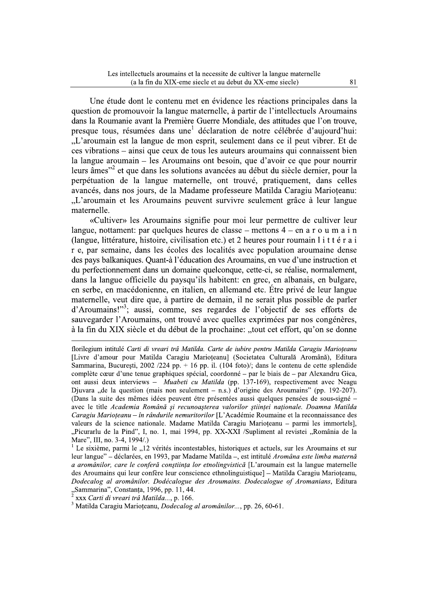Une etude dont le contenu met en evidence les reactions principales dans la question de promouvoir la langue maternelle, à partir de l'intellectuels Aroumains dans la Roumanie avant la Première Guerre Mondiale, des attitudes que l'on trouve, presque tous, résumées dans une déclaration de notre célébrée d'au Les intellectuels aroumains et la necessite de cultiver la langue maternelle<br>
(a la fin du XIX-eme siecle et au debut du XX-eme siecle)<br>
Une étude dont le contenu met en évidence les réactions principales dans la<br>
questio roumain est la langue de mon esprit, seulement dans ce il peut vibrer. Et de ces vibrations – ainsi que ceux de tous les auteurs aroumains qui connaissent bien la langue aroumain – les Aroumains ont besoin, que d'avoir ce que pour nourrir leurs âmes" et que dans les solutions avancées au début du siècle dernier, pour la perpetuation de la langue maternelle, ont trouve, pratiquement, dans celles avances, dans nos jours, de la Madame professeure Matilda Caragiu Marioțeanu: question de promouvoir la langue maternell<br>dans la Roumanie avant la Première Guerre i<br>presque tous, résumées dans une<sup>1</sup> déclara<br>
"L'aroumain est la langue de mon esprit, s<br>
ces vibrations – ainsi que ceux de tous les a<br> L'aroumain et les Aroumains peuvent survivre seulement grace à leur langue, maternelle.  $\cdot$  +

«Cultiver» les Aroumains signifie pour moi leur permettre de cultiver leur langue, nottament: par quelques heures de classe – mettons  $4$  – en a r o u m a i n (langue, litterature, histoire, civilisation etc.) et 2 heures pour roumain  $1$  i t t e r a i r e, par semaine, dans les ecoles des localites avec population aroumaine dense des pays balkaniques. Quant-a l'education des Aroumains, en vue d'une instruction et du perfectionnement dans un domaine quelconque, cette-ci, se realise, normalement, dans la langue officielle du paysqu'ils habitent: en grec, en albanais, en bulgare, en serbe, en macedonienne, en italien, en allemand etc. Etre prive de leur langue maternelle, veut dire que, a partire de demain, il ne serait plus possible de parler d'Aroumains!"<sup>3</sup>; aussi, comme, ses regardes de l'objectif de ses efforts de heures de classe – mettons 4 – en a r o u m a i r<br>lisation etc.) et 2 heures pour roumain l i t t é r a is<br>es des localités avec population aroumaine dense<br>ducation des Aroumains, en vue d'une instruction en<br>maine quelcon sauvegarder l'Aroumains, ont trouve avec quelles exprimees par nos congeneres, a la fin du XIX siecle et du début de la prochaine: "tout cet effort, qu'on se donne

"Sammarina", Constanța, 1996, pp. 11, 44.<br><sup>2</sup> xxx *Carti di vreari trâ Matilda*..., p. 166.<br><sup>3</sup> Matilda Caragiu Marioțeanu, *Dodecalog al aromânilor*..., pp. 26, 60-61.

 $>$   $\frac{1}{2}$  ,  $\frac{1}{2}$  ,  $\frac{1}{2}$  ,  $\frac{1}{2}$  ,  $\frac{1}{2}$  ,  $\frac{1}{2}$  ,  $\frac{1}{2}$  ,  $\frac{1}{2}$  ,  $\frac{1}{2}$  ,  $\frac{1}{2}$  ,  $\frac{1}{2}$  ,  $\frac{1}{2}$  ,  $\frac{1}{2}$  ,  $\frac{1}{2}$  ,  $\frac{1}{2}$  ,  $\frac{1}{2}$  ,  $\frac{1}{2}$  ,  $\frac{1}{2}$  , tlorilegium intitule Carti di vreari tra Matilda. Carte de iubire pentru Matilda Caragiu Marioțeanu Luvre d'amour pour Matilda Caragiu Marioțeanu] (Societatea Culturala Aromana), Editura Sammarina, București, 2002 /224 pp. + 16 pp. il. (104 foto)/; dans le contenu de cette splendide complete cœur d'une tenue graphiques special, coordonne – par le biais de – par Alexandru Gica, ont aussi deux interviews – *Muabeti cu Matilda* (pp. 137-169), respectivement avec Neag state team and MIX siècle et du début de la prochaine: "tout cet effort, qu'on se donne<br>
à la fin du XIX siècle et du début de la prochaine: "tout cet effort, qu'on se donne<br>
florilegium intitulé Carti di vreari trâ Matil ra "de la question (mais non seulement – n.s.) d'origine des Aroumains" (pp. 192-207). (Dans la suite des memes idees peuvent etre presentees aussi quelques pensees de sous-signe – avec le title *Academia Romana și recunoașterea valorilor științei naționale. Doamna Matilda* Caragiu Marioțeanu – în randurile nemuritorilor [L'Academie Roumaine et la reconnaissance des valeurs de la science nationale. Madame Matilda Caragiu Marioțeanu – parmi les immortels], Picurarlu de la Pind<sup>o</sup>, I, no. 1, mai 1994, pp. XX-XXI /Supliment al revistei "Romania de la, Mare<sup>7</sup>

Mare", III, no. 3-4, 1994/.)<br><sup>1</sup> Le sixième, parmi le "12 vérités incontestables, historiques et actuels, sur les Aroumains et sur leur langue" – declarees, en 1993, par Madame Matilda –, est intitule *Aromana este limba materna* a aromanilor, care le confera conștiința lor etnolingvistica [L'aroumain est la langue maternelle des Aroumains qui leur contere leur conscience ethnolinguistique] – Matilda Caragiu Marioțeanu, Dodecalog al aromanilor. Dodecalogue des Aroumains. Dodecalogue of Aromanians, Editura "Sammarina", Constanța,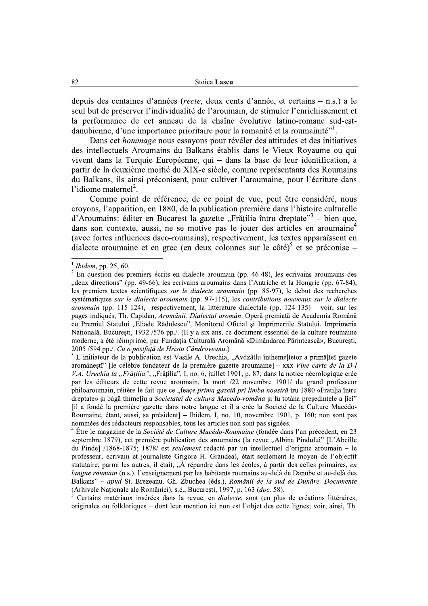depuis des centaines d'années (*recte*, deux cents d'année, et certains – n.s.) a le seul but de préserver l'individualité de l'aroumain, de stimuler l'enrichissement et la performance de cet anneau de la chaîne évolutive latino-romane sud-estdanubienne, d'une importance prioritaire pour la romanité et la roumainité"<sup>1</sup>.

Dans cet *hommage* nous essayons pour révéler des attitudes et des initiatives des intellectuels Aroumains du Balkans établis dans le Vieux Royaume ou qui vivent dans la Turquie Européenne, qui – dans la base de leur identification, à partir de la deuxième moitié du XIX-e siècle, comme représentants des Roumains du Balkans, ils ainsi préconisent, pour cultiver l'aroumaine, pour l'écriture dans l'idiome maternel<sup>2</sup>.

Comme point de référence, de ce point de vue, peut être considéré, nous croyons, l'apparition, en 1880, de la publication première dans l'histoire culturelle d'Aroumains: éditer en Bucarest la gazette "Frățilia întru dreptate"<sup>3</sup> – bien que, dans son contexte, aussi, ne se motive pas le jouer des articles en aroumaine<sup>4</sup> (avec fortes influences daco-roumains); respectivement, les textes apparaîssent en dialecte aroumaine et en grec (en deux colonnes sur le côté)<sup>5</sup> et se préconise –

 $1$  Ibidem, pp. 25, 60.

<sup>&</sup>lt;sup>2</sup> En question des premiers écrits en dialecte aroumain (pp. 46-48), les ecrivains aroumains des "deux directions" (pp. 49-66), les ecrivains aroumains dans l'Autriche et la Hongrie (pp. 67-84), les premiers textes scientifiques *sur le dialecte aroumain* (pp. 85-97), le debut des recherches systématiques sur le dialecte aroumain (pp. 97-115), les contributions nouveaux sur le dialecte aroumain (pp. 115-124), respectivement, la littérature dialectale (pp. 124-135) – voir, sur les pages indiqués, Th. Capidan, Aromânii. Dialectul aromân. Operă premiată de Academia Română cu Premiul Statului "Eliade Rădulescu", Monitorul Oficial și Imprimeriile Statului. Imprimeria Națională, București, 1932 /576 pp./. (Il y a six ans, ce document essentiel de la culture roumaine moderne, a été réimprimé, par Fundația Culturală Aromână «Dimândarea Părintească», București, 2005 /594 pp./. Cu o postfață de Hristu Cândroveanu.)

L'initiateur de la publication est Vasile A. Urechia, "Avdzâtlu înthemelietor a primăliei gazete aromânești" [le célèbre fondateur de la première gazette aroumaine] – xxx Vine carte de la D-l V.A. Urechĭa la "Frățilia", "Frățilia", I, no. 6, juillet 1901, p. 87; dans la notice nécrologique crée par les éditeurs de cette revue aroumain, la mort /22 novembre 1901/ du grand professeur philoaroumain, réitère le fait que ce "feace prima gazetă pri limba noastră tru 1880 «Fratilia întru dreptate» si bâgă thimeliu a Societatei de cultura Macedo-româna și fu totâna presedintele a liei" [il a fondé la première gazette dans notre langue et il a crée la Societé de la Culture Macédo-Roumaine, étant, aussi, sa président] – Ibidem, I, no. 10, novembre 1901, p. 160; non sont pas nommées des rédacteurs responsables, tous les articles non sont pas signées.

 $4$  Être le magazine de la Société de Culture Macédo-Roumaine (fondée dans l'an précedent, en 23 septembre 1879), cet première publication des aroumains (la revue "Albina Pindului" [L'Abeille du Pinde] /1868-1875; 1878/ est *seulement* redacté par un intellectuel d'origine aroumain – le professeur, écrivain et journaliste Grigore H. Grandea), était seulement le moyen de l'objectif statutaire; parmi les autres, il était, "À répandre dans les écoles, à partir des celles primaires, en langue roumain (n.s.), l'enseignement par les habitants roumains au-delà de Danube et au-delà des Balkans" - apud St. Brezeanu, Gh. Zbuchea (éds.), Românii de la sud de Dunăre. Documente (Arhivele Naționale ale României), s.é., București, 1997, p. 163 (doc. 58).

Certains matériaux insérées dans la revue, en *dialecte*, sont (en plus de créations littéraires, originales ou folkloriques – dont leur mention ici non est l'objet des cette lignes; voir, ainsi, Th.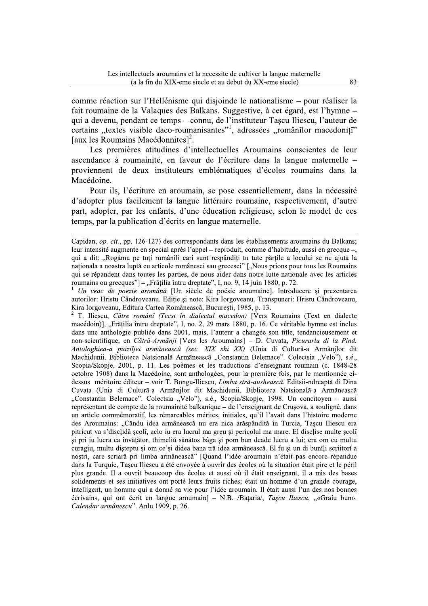comme réaction sur l'Hellénisme qui disjoinde le nationalisme – pour réaliser la fait roumaine de la Valagues des Balkans. Suggestive, à cet égard, est l'hymne – qui a devenu, pendant ce temps – connu, de l'instituteur Tașcu Iliescu, l'auteur de certains "textes visible daco-roumanisantes"<sup>1</sup>, adressées "românilor macedoniți" [aux les Roumains Macédonnites]<sup>2</sup>.

Les premières atitudines d'intellectuelles Aroumains conscientes de leur ascendance à roumainité, en faveur de l'écriture dans la langue maternelle – proviennent de deux instituteurs emblématiques d'écoles roumains dans la Macédoine.

Pour ils, l'écriture en aroumain, se pose essentiellement, dans la nécessité d'adopter plus facilement la langue littéraire roumaine, respectivement, d'autre part, adopter, par les enfants, d'une éducation religieuse, selon le model de ces temps, par la publication d'écrits en langue maternelle.

T. Iliescu, Către românĭ (Tecst în dialectul macedon) [Vers Roumains (Text en dialecte macédoin)], "Frățilia întru dreptate", I, no. 2, 29 mars 1880, p. 16. Ce véritable hymne est inclus dans une anthologie publiée dans 2001, mais, l'auteur a changée son title, tendancieusement et non-scientifique, en Cătră-Armãnji [Vers les Aroumains] - D. Cuvata, Picurarlu di la Pind. Antologhiea-a puiziljei armãneascã (sec. XIX shi XX) (Unia di Culturã-a Armãnjlor dit Machidunii. Biblioteca Natsionalã Armãneascã "Constantin Belemace". Colectsia "Velo"), s.é., Scopia/Skopje, 2001, p. 11. Les poèmes et les traductions d'enseignant roumain (c. 1848-28) octobre 1908) dans la Macédoine, sont anthologées, pour la première fois, par le mentionnée cidessus méritoire éditeur - voir T. Bongu-Iliescu, Limba strã-ausheascã. Editsii-ndreaptă di Dina Cuvata (Unia di Culturã-a Armãnilor dit Machidunii. Biblioteca Natsionalã-a Armãneascã "Constantin Belemace". Colectsia "Velo"), s.é., Scopia/Skopje, 1998. Un concitoyen – aussi représentant de compte de la roumainité balkanique – de l'enseignant de Crusova, a souligné, dans un article commémoratif, les rémarcables mérites, initiales, qu'il l'avait dans l'histoire moderne des Aroumains: "Căndu idea armânească nu era nica arăspândită în Turcia, Tascu Iliescu era pitricut va s'disclidă școli, aclo iu era lucrul ma greu și pericolul ma mare. El disclise multe școli și pri iu lucra ca învățător, thimeliŭ sănătos bâga și pom bun deade lucru a lui; era om cu multu curagiu, multu disteptu si om ce'si didea bana tră idea armânească. El fu si un di bunili scriitori a noștri, care scriară pri limba armânească" [Quand l'idée aroumain n'était pas encore répandue dans la Turquie. Tascu Iliescu a été envovée à ouvrir des écoles où la situation était pire et le péril plus grande. Il a ouvrit beaucoup des écoles et aussi où il était enseignant, il a mis des bases solidements et ses initiatives ont porté leurs fruits riches; était un homme d'un grande courage, intelligent, un homme qui a donné sa vie pour l'idée aroumain. Il était aussi l'un des nos bonnes écrivains, qui ont écrit en langue aroumain] - N.B. /Bațaria/, Taşcu Iliescu, "«Graiu bun». Calendar armânescu". Anlu 1909, p. 26.

Capidan, *op. cit.*, pp. 126-127) des correspondants dans les établissements aroumains du Balkans; leur intensité augmente en special après l'appel – reproduit, comme d'habitude, aussi en grecque –, qui a dit: "Rogămu pe tuti românili cari sunt respânditi tu tute părtile a locului se ne ajută la naționala a noastra luptă cu articole românesci sau grecesci" ["Nous prions pour tous les Roumains qui se répandent dans toutes les parties, de nous aider dans notre lutte nationale avec les articles roumains ou grecques"] - "Frățilia întru dreptate", I, no. 9, 14 juin 1880, p. 72.

Un veac de poezie aromână [Un siècle de poésie aroumaine]. Introducere și prezentarea autorilor: Hristu Cândroveanu. Editie și note: Kira Iorgoveanu. Transpuneri: Hristu Cândroveanu, Kira Iorgoveanu, Editura Cartea Românească, București, 1985, p. 13.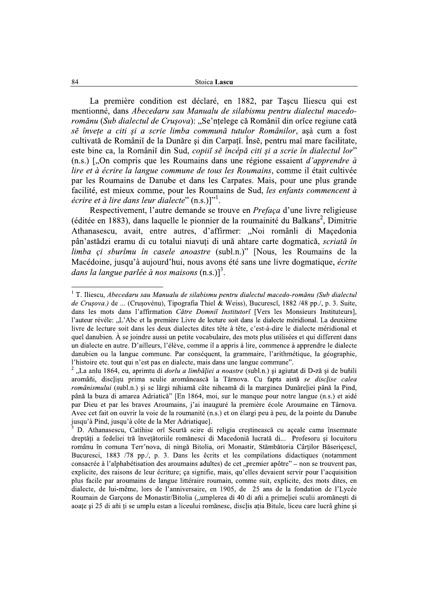La première condition est déclaré, en 1882, par Taşcu Iliescu qui est mentionné, dans Abecedaru sau Manualu de silabismu pentru dialectul macedoromănu (Sub dialectul de Crusova): "Se'ntelege că Romănii din orice regiune cată se învete a citi și a scrie limba commună tutulor Românilor, asà cum a fost cultivată de Românii de la Dunăre și din Carpați. Înse, pentru mai mare facilitate, este bine ca, la Românii din Sud, copiii sĕ încépă citi și a scrie în dialectul lor"  $(n.s.)$  [...,On compris que les Roumains dans une régione essaient *d'apprendre à* lire et à écrire la langue commune de tous les Roumains, comme il était cultivée par les Roumains de Danube et dans les Carpates. Mais, pour une plus grande facilité, est mieux comme, pour les Roumains de Sud, les enfants commencent à *écrire et à lire dans leur dialecte*"  $(n.s.)$ ]"<sup>1</sup>.

Respectivement, l'autre demande se trouve en *Prefaça* d'une livre religieuse (éditée en 1883), dans laquelle le pionnier de la roumainité du Balkans<sup>2</sup>, Dimitrie Athanasescu, avait, entre autres, d'affirmer: "Noi românli di Maçedonia pân'astădzi eramu di cu totalui niavuti di ună ahtare carte dogmatică, *scriată în* limba çi sburîmu în casele anoastre (subl.n.)" [Nous, les Roumains de la Macédoine, jusqu'à aujourd'hui, nous avons été sans une livre dogmatique, écrite dans la langue parlée à nos maisons  $(n.s.)^3$ .

 $1$  T. Iliescu, Abecedaru sau Manualu de silabismu pentru dialectul macedo-romănu (Sub dialectul de Crusova.) de ... (Crusovénu), Tipografia Thiel & Weiss), Bucurescĭ, 1882 /48 pp./, p. 3. Suite, dans les mots dans l'affirmation Către Domnii Institutori [Vers les Monsieurs Instituteurs], l'auteur révéle: "L'Abc et la première Livre de lecture soit dans le dialecte méridional. La deuxième livre de lecture soit dans les deux dialectes dites tête à tête, c'est-à-dire le dialecte méridional et quel danubien. À se joindre aussi un petite vocabulaire, des mots plus utilisées et qui different dans un dialecte en autre. D'ailleurs, l'élève, comme il a appris à lire, commence à apprendre le dialecte danubien ou la langue commune. Par conséquent, la grammaire, l'arithmétique, la géographie, l'histoire etc. tout qui n'est pas en dialecte, mais dans une langue commune".

<sup>&</sup>quot;La anlu 1864, eu, aprimtu di *dorlu a limbăției a noastre* (subl.n.) și agiutat di D-ză și de buñili aromâñi, disclisu prima sculie aromânească la Tărnova. Cu fapta aistă se disclise calea românismului (subl.n.) și se lărgi nihiamă câte niheamă di la marginea Dunăreliei până la Pind, până la buza di amarea Adriatică" [En 1864, moi, sur le manque pour notre langue (n.s.) et aidé par Dieu et par les braves Aroumains, j'ai inauguré la première école Aroumaine en Târnova. Avec cet fait on ouvrir la voie de la roumanité (n.s.) et on élargi peu à peu, de la pointe du Danube jusqu'à Pind, jusqu'à côte de la Mer Adriatique].

D. Athanasescu, Catihise ori Scurtă scire di religia crestinească cu aceale cama însemnate dreptăți a fedeliei tră învetătoriile romănesci di Macedoniă lucrată di... Profesoru și locuitoru românu în comuna Terr'nova, di ningă Bitolia, ori Monastir, Stămbătoria Cârtilor Băsericesci, Bucuresci, 1883 /78 pp./, p. 3. Dans les êcrits et les compilations didactiques (notamment consacrée à l'alphabétisation des aroumains adultes) de cet "premier apôtre" – non se trouvent pas, explicite, des raisons de leur écriture; ça signifie, mais, qu'elles devaient servir pour l'acquisition plus facile par aroumains de langue littéraire roumain, comme suit, explicite, des mots dites, en dialecte, de lui-même, lors de l'anniversaire, en 1905, de 25 ans de la fondation de l'Lycée Roumain de Garçons de Monastir/Bitolia ("umplerea di 40 di añi a primeliei sculii aromănești di aoațe și 25 di añi ți se umplu estan a liceului romănesc, disclis ația Bitule, liceu care lucrâ ghine și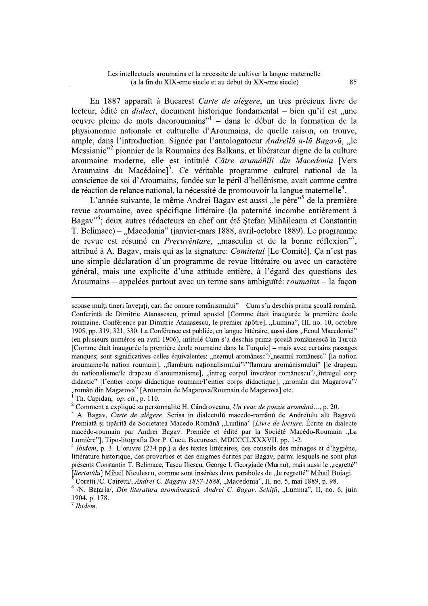En 1887 apparaît à Bucarest Carte de alégere, un très précieux livre de lecteur, édité en *dialect*, document historique fondamental - bien qu'il est ..une oeuvre pleine de mots dacoroumains"<sup>1</sup> – dans le début de la formation de la physionomie nationale et culturelle d'Aroumains, de quelle raison, on trouve, ample, dans l'introduction. Signée par l'antologatoeur Andreilu a-lu Bagavu, "le Messianic"<sup>2</sup> pionnier de la Roumains des Balkans, et libérateur digne de la culture aroumaine moderne, elle est intitulé Către arumântili din Macedonia [Vers Aroumains du Macédoine]<sup>3</sup>. Ce véritable programme culturel national de la conscience de soi d'Aroumains, fondée sur le péril d'hellénisme, avait comme centre de réaction de relance national, la nécessité de promouvoir la langue maternelle<sup>4</sup>.

L'année suivante, le même Andrei Bagav est aussi "le père" de la première revue aroumaine, avec spécifique littéraire (la paternité incombe entièrement à Bagav<sup>"6</sup>; deux autres rédacteurs en chef ont été Stefan Mihăileanu et Constantin T. Belimace) – "Macedonia" (janvier-mars 1888, avril-octobre 1889). Le programme de revue est résumé en *Precuvêntare*, "masculin et de la bonne réflexion", attribué à A. Bagav, mais qui as la signature: *Comitetul* [Le Comité]. Ca n'est pas une simple déclaration d'un programme de revue littéraire ou avec un caractère général, mais une explicite d'une attitude entière, à l'égard des questions des Aroumains – appelées partout avec un terme sans ambiguïté: *roumains* – la façon

scoase mulți tineri învețați, cari fac onoare românismului" – Cum s'a deschis prima școală română. Conferință de Dimitrie Atanasescu, primul apostol [Comme était inaugurée la première école roumaine. Conférence par Dimitrie Atanasescu, le premier apôtre], "Lumina", III, no. 10, octobre 1905, pp. 319, 321, 330. La Conférence est publiée, en langue littéraire, aussi dans "Ecoul Macedoniei" (en plusieurs numéros en avril 1906), intitulé Cum s'a deschis prima scoală românească în Turcia [Comme était inaugurée la première école roumaine dans la Turquie] – mais avec certains passages manques; sont significatives celles équivalentes: "neamul aromânesc"/"neamul românesc" [la nation aroumaine/la nation roumain], "flambura nationalismului"/"flamura aromânismului" [le drapeau du nationalisme/le drapeau d'aroumanisme], "întreg corpul învețător romănescu"/"întregul corp didactic" [l'entier corps didactique roumain/l'entier corps didactique], "aromân din Magarova"/ "român din Magarova" [Aroumain de Magarova/Roumain de Magarova] etc.

<sup>&</sup>lt;sup>1</sup> Th. Capidan, *op. cit.*, p. 110.

<sup>&</sup>lt;sup>2</sup> Comment a expliqué sa personnalité H. Cândroveanu, Un veac de poezie aromână..., p. 20.

<sup>&</sup>lt;sup>3</sup> A. Bagav, Carte de alégere. Scrisa in dialectulŭ macedo-românŭ de Andreĭulu alŭ Bagavŭ. Premiată și tipărită de Societatea Macedo-Română "Lumina" [Livre de lecture. Écrite en dialecte macédo-roumain par Andrei Bagav. Premiée et édité par la Société Macédo-Roumain "La Lumière"], Tipo-litografia Dor.P. Cucu, Bucuresci, MDCCCLXXXVII, pp. 1-2.

<sup>&</sup>lt;sup>4</sup> Ibidem, p. 3. L'œuvre (234 pp.) a des textes littéraires, des conseils des ménages et d'hygiène, littérature historique, des proverbes et des énigmes écrites par Bagav, parmi lesquels ne sont plus présents Constantin T. Belimace, Tascu Iliescu, George I. Georgiade (Murnu), mais aussi le "regretté" *[liertatŭlu]* Mihail Niculescu, comme sont insérées deux paraboles de "le regretté" Mihail Boiagi.

Coretti /C. Cairetti/, Andrei C. Bagavu 1857-1888, "Macedonia", II, no. 5, mai 1889, p. 98.

<sup>&</sup>lt;sup>6</sup> /N. Bațaria/, *Din literatura aromânească. Andrei C. Bagav. Schiță*, "Lumina", II, no. 6, juin 1904, p. 178.

 $^7$  Ibidem.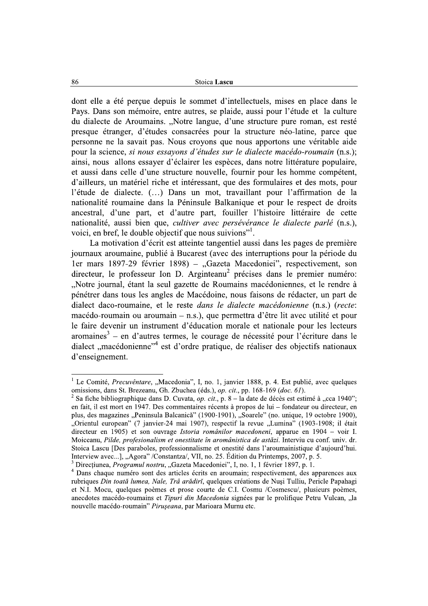dont elle a été percue depuis le sommet d'intellectuels, mises en place dans le Pays. Dans son mémoire, entre autres, se plaide, aussi pour l'étude et la culture du dialecte de Aroumains. "Notre langue, d'une structure pure roman, est resté presque étranger, d'études consacrées pour la structure néo-latine, parce que personne ne la savait pas. Nous croyons que nous apportons une véritable aide pour la science, si nous essayons d'études sur le dialecte macédo-roumain (n.s.); ainsi, nous allons essayer d'éclairer les espèces, dans notre littérature populaire, et aussi dans celle d'une structure nouvelle, fournir pour les homme compétent, d'ailleurs, un matériel riche et intéressant, que des formulaires et des mots, pour l'étude de dialecte. (...) Dans un mot, travaillant pour l'affirmation de la nationalité roumaine dans la Péninsule Balkanique et pour le respect de droits ancestral, d'une part, et d'autre part, fouiller l'histoire littéraire de cette nationalité, aussi bien que, *cultiver avec persévérance le dialecte parlé* (n.s.), voici, en bref, le double objectif que nous suivions".

La motivation d'écrit est atteinte tangentiel aussi dans les pages de première journaux aroumaine, publié à Bucarest (avec des interruptions pour la période du 1er mars 1897-29 février 1898) – "Gazeta Macedoniei", respectivement, son directeur, le professeur Ion D. Arginteanu<sup>2</sup> précises dans le premier numéro: "Notre journal, étant la seul gazette de Roumains macédoniennes, et le rendre à pénétrer dans tous les angles de Macédoine, nous faisons de rédacter, un part de dialect daco-roumaine, et le reste *dans le dialecte macédonienne* (n.s.) (recte: macédo-roumain ou aroumain – n.s.), que permettra d'être lit avec utilité et pour le faire devenir un instrument d'éducation morale et nationale pour les lecteurs aromaines<sup>3</sup> – en d'autres termes, le courage de nécessité pour l'écriture dans le dialect "macédonienne"<sup>4</sup> est d'ordre pratique, de réaliser des objectifs nationaux d'enseignement.

<sup>&</sup>lt;sup>1</sup> Le Comité, *Precuvêntare*, "Macedonia", I, no. 1, janvier 1888, p. 4. Est publié, avec quelques omissions, dans St. Brezeanu, Gh. Zbuchea (éds.), op. cit., pp. 168-169 (doc. 61).

<sup>&</sup>lt;sup>2</sup> Sa fiche bibliographique dans D. Cuvata, *op. cit.*, p. 8 – la date de décès est estimé à "cca 1940"; en fait, il est mort en 1947. Des commentaires récents à propos de lui – fondateur ou directeur, en plus, des magazines "Peninsula Balcanică" (1900-1901), "Soarele" (no. unique, 19 octobre 1900), "Orientul european" (7 janvier-24 mai 1907), respectif la revue "Lumina" (1903-1908; il était directeur en 1905) et son ouvrage *Istoria românilor macedoneni*, apparue en 1904 – voir I. Moiceanu, Pilde, profesionalism et onestitate în aromânistica de astăzi. Interviu cu conf. univ. dr. Stoica Lascu [Des paraboles, professionnalisme et onestité dans l'aroumainistique d'aujourd'hui. Interview avec...], "Agora" /Constantza/, VII, no. 25. Édition du Printemps, 2007, p. 5.

<sup>&</sup>lt;sup>3</sup> Direcțiunea, *Programul nostru*, "Gazeta Macedoniei", I, no. 1, 1 février 1897, p. 1.

<sup>&</sup>lt;sup>4</sup> Dans chaque numéro sont des articles écrits en aroumain; respectivement, des apparences aux rubriques Din toată lumea, Nale, Trâ arădiri, quelques créations de Nuși Tulliu, Pericle Papahagi et N.I. Mocu, quelques poèmes et prose courte de C.I. Cosmu /Cosmescu/, plusieurs poèmes, anecdotes macédo-roumains et Tipuri din Macedonia signées par le prolifique Petru Vulcan, "la nouvelle macédo-roumain" Pirușeana, par Marioara Murnu etc.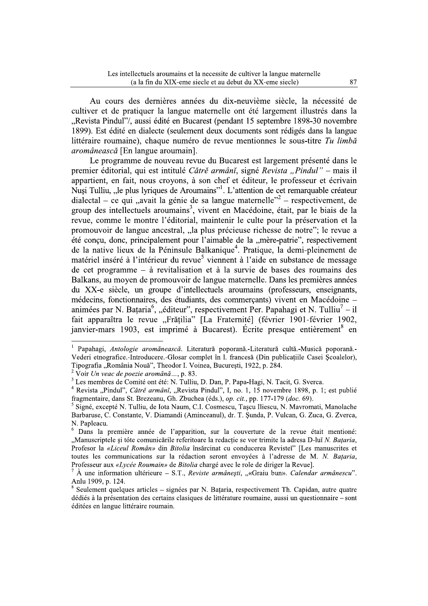Au cours des dernières années du dix-neuvième siècle, la nécessité de cultiver et de pratiquer la langue maternelle ont été largement illustrés dans la "Revista Pindul"/, aussi édité en Bucarest (pendant 15 septembre 1898-30 novembre 1899). Est édité en dialecte (seulement deux documents sont rédigés dans la langue littéraire roumaine), chaque numéro de revue mentionnes le sous-titre Tu limbă aromânească [En langue aroumain].

Le programme de nouveau revue du Bucarest est largement présenté dans le premier éditorial, qui est intitulé Cătrě armâni, signé Revista "Pindul" – mais il appartient, en fait, nous croyons, à son chef et éditeur, le professeur et écrivain Nuși Tulliu, "le plus lyriques de Aroumains"<sup>1</sup>. L'attention de cet remarquable créateur dialectal – ce qui "avait la génie de sa langue maternelle" – respectivement. de group des intellectuels aroumains<sup>3</sup>, vivent en Macédoine, était, par le biais de la revue, comme le montre l'éditorial, maintenir le culte pour la préservation et la promouvoir de langue ancestral, "la plus précieuse richesse de notre"; le revue a été concu, donc, principalement pour l'aimable de la "mère-patrie", respectivement de la native lieux de la Péninsule Balkanique<sup>4</sup>. Pratique, la demi-pleinement de matériel inséré à l'intérieur du revue<sup>5</sup> viennent à l'aide en substance de message de cet programme – à revitalisation et à la survie de bases des roumains des Balkans, au moyen de promouvoir de langue maternelle. Dans les premières années du XX-e siècle, un groupe d'intellectuels aroumains (professeurs, enseignants, médecins, fonctionnaires, des étudiants, des commerçants) vivent en Macédoine – animées par N. Bataria<sup>6</sup>, "éditeur", respectivement Per. Papahagi et N. Tulliu<sup>7</sup> – il fait apparaîtra le revue "Frățilia" [La Fraternité] (février 1901-février 1902, janvier-mars 1903, est imprimé à Bucarest). Écrite presque entièrement<sup>8</sup> en

<sup>&</sup>lt;sup>1</sup> Papahagi, Antologie aromănească. Literatură poporană.-Literatură cultă.-Musică poporană.-Vederi etnografice.-Introducere.-Glosar complet în l. francesă (Din publicațiile Casei Școalelor), Tipografia "România Nouă", Theodor I. Voinea, București, 1922, p. 284.

<sup>&</sup>lt;sup>2</sup> Voir Un veac de poezie aromână..., p. 83.

<sup>&</sup>lt;sup>3</sup> Les membres de Comité ont été: N. Tulliu, D. Dan, P. Papa-Hagi, N. Tacit, G. Sverca.

<sup>&</sup>lt;sup>4</sup> Revista "Pindul". Cătrě armânĭ, "Revista Pindul", I, no. 1, 15 novembre 1898, p. 1; est publié fragmentaire, dans St. Brezeanu, Gh. Zbuchea (éds.), op. cit., pp. 177-179 (doc. 69).

<sup>&</sup>lt;sup>5</sup> Signé, excepté N. Tulliu, de Iota Naum, C.I. Cosmescu, Tascu Iliescu, N. Mayromati, Manolache Barbaruse, C. Constante, V. Diamandi (Aminceanul), dr. T. Sunda, P. Vulcan, G. Zuca, G. Zverca, N. Papleacu.

<sup>&</sup>lt;sup>6</sup> Dans la première année de l'apparition, sur la couverture de la revue était mentioné: "Manuscriptele și tóte comunicările referitoare la redacție se vor trimite la adresa D-luĭ N. Bațaria, Profesor la «Liceul Român» din Bitolia însărcinat cu conducerea Revistei" [Les manuscrites et toutes les communications sur la rédaction seront envoyées à l'adresse de M. N. Bataria, Professeur aux «Lycée Roumain» de Bitolia chargé avec le role de diriger la Revuel.

 $\hat{A}$  une information ultérieure – S.T., *Reviste armânesti*, "«Graiu bun». *Calendar armânescu*". Anlu 1909, p. 124.

Seulement quelques articles – signées par N. Bataria, respectivement Th. Capidan, autre quatre dédiés à la présentation des certains clasiques de littérature roumaine, aussi un questionnaire – sont éditées en langue littéraire roumain.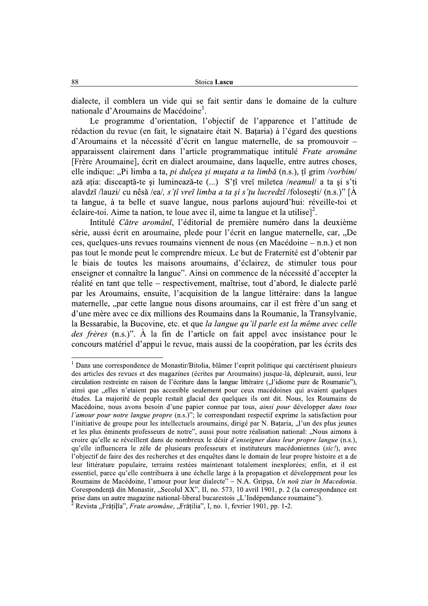dialecte, il comblera un vide qui se fait sentir dans le domaine de la culture nationale d'Aroumains de Macédoine<sup>1</sup>.

Le programme d'orientation, l'objectif de l'apparence et l'attitude de rédaction du revue (en fait, le signataire était N. Bataria) à l'égard des questions d'Aroumains et la nécessité d'écrit en langue maternelle, de sa promouvoir – apparaissent clairement dans l'article programmatique intitulé Frate aromâne [Frère Aroumaine], écrit en dialect aroumaine, dans laquelle, entre autres choses, elle indique: "Pi limba a ta, *pi dulcea si musata a ta limbă* (n.s.), tî grim /vorbim/ ază atia: disceaptă-te și luminează-te (...) S'țî vreĭ miletea /neamul/ a ta și s'ti alavdzi /lauzi/ cu nêsă /ea/, s'tî vreĭ limba a ta și s'tu lucredzi /folosesti/ (n.s.)" [A ta langue, à ta belle et suave langue, nous parlons aujourd'hui: réveille-toi et éclaire-toi. Aime ta nation, te loue avec il, aime ta langue et la utilise]<sup>2</sup>.

Intitulé Către aromâni, l'éditorial de première numéro dans la deuxième série, aussi écrit en aroumaine, plede pour l'écrit en langue maternelle, car, "De ces, quelques-uns revues roumains viennent de nous (en Macédoine – n.n.) et non pas tout le monde peut le comprendre mieux. Le but de Fraternité est d'obtenir par le biais de toutes les maisons aroumains, d'éclairez, de stimuler tous pour enseigner et connaître la langue". Ainsi on commence de la nécessité d'accepter la réalité en tant que telle – respectivement, maîtrise, tout d'abord, le dialecte parlé par les Aroumains, ensuite, l'acquisition de la langue littéraire: dans la langue maternelle, "par cette langue nous disons aroumains, car il est frère d'un sang et d'une mère avec ce dix millions des Roumains dans la Roumanie, la Transvivanie, la Bessarabie, la Bucovine, etc. et que la langue qu'il parle est la même avec celle *des frères* (n.s.)". À la fin de l'article on fait appel avec insistance pour le concours matériel d'appui le revue, mais aussi de la coopération, par les écrits des

<sup>&</sup>lt;sup>1</sup> Dans une correspondence de Monastir/Bitolia, blâmer l'esprit politique qui carctérisent plusieurs des articles des revues et des magazines (écrites par Aroumains) jusque-là, dépleurait, aussi, leur circulation restreinte en raison de l'écriture dans la langue littéraire ("l'idiome pure de Roumanie"), ainsi que "elles n'etaient pas accesible seulement pour ceux macédoines qui avaient quelques études. La majorité de peuple restait glacial des quelques ils ont dit. Nous, les Roumains de Macédoine, nous avons besoin d'une papier connue par tous, ainsi pour développer dans tous *l'amour pour notre langue propre* (n.s.)"; le correspondant respectif exprime la satisfaction pour l'initiative de groupe pour les intellectuels aroumains, dirigé par N. Bataria, "l'un des plus jeunes et les plus éminents professeurs de notre", aussi pour notre réalisation national: "Nous aimons à croire qu'elle se réveillent dans de nombreux le désir d'enseigner dans leur propre langue (n.s.), qu'elle influencera le zèle de plusieurs professeurs et instituteurs macédoniennes (sic!), avec l'objectif de faire des des recherches et des enquêtes dans le domain de leur propre histoire et a de leur littérature populaire, terrains restées maintenant totalement inexplorées; enfin, et il est essentiel, parce qu'elle contribuera à une échelle large à la propagation et développment pour les Roumains de Macédoine, l'amour pour leur dialecte" - N.A. Gripșa, Un noŭ ziar în Macedonia. Corespondență din Monastir, "Secolul XX", II, no. 573, 10 avril 1901, p. 2 (la correspondance est prise dans un autre magazine national-liberal bucarestois "L'Indépendance roumaine"). Revista "Frățilia", Frate aromâne, "Frățilia", I, no. 1, fevrier 1901, pp. 1-2.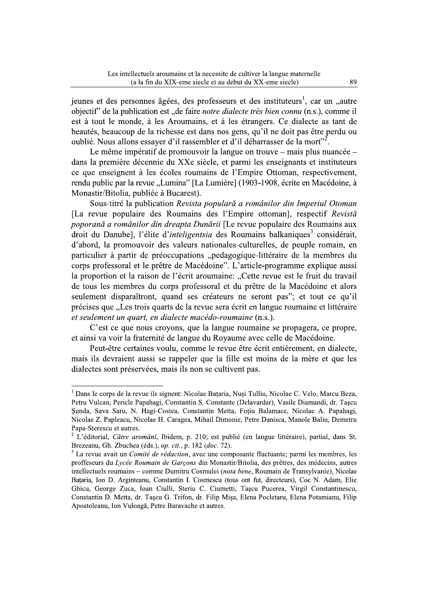jeunes et des personnes âgées, des professeurs et des instituteurs<sup>1</sup>, car un "autre objectif" de la publication est "de faire *notre dialecte très bien connu* (n.s.), comme il est à tout le monde, à les Aroumains, et à les étrangers. Ce dialecte as tant de beautés, beaucoup de la richesse est dans nos gens, qu'il ne doit pas être perdu ou oublié. Nous allons essayer d'il rassembler et d'il débarrasser de la mort"<sup>2</sup>.

Le même impératif de promouvoir la langue on trouve – mais plus nuancée – dans la première décennie du XXe siècle, et parmi les enseignants et instituteurs ce que enseignent à les écoles roumains de l'Empire Ottoman, respectivement, rendu public par la revue "Lumina" [La Lumière] (1903-1908, écrite en Macédoine, à Monastir/Bitolia, publiée à Bucarest).

Sous-titré la publication Revista populară a românilor din Imperiul Otoman [La revue populaire des Roumains des l'Empire ottoman], respectif Revistă poporană a românilor din dreapta Dunării [Le revue populaire des Roumains aux droit du Danube], l'élite d'inteligentsia des Roumains balkaniques<sup>3</sup> considérait, d'abord, la promouvoir des valeurs nationales-culturelles, de peuple romain, en particulier à partir de préoccupations "pedagogique-littéraire de la membres du corps professoral et le prêtre de Macédoine". L'article-programme explique aussi la proportion et la raison de l'écrit aroumaine: "Cette revue est le fruit du travail de tous les membres du corps professoral et du prêtre de la Macédoine et alors seulement disparaîtront, quand ses créateurs ne seront pas"; et tout ce qu'il précises que "Les trois quarts de la revue sera écrit en langue roumaine et littéraire et seulement un quart, en dialecte macédo-roumaine (n.s.).

C'est ce que nous croyons, que la langue roumaine se propagera, ce propre, et ainsi va voir la fraternité de langue du Royaume avec celle de Macédoine.

Peut-être certaines voulu, comme le revue être écrit entièrement, en dialecte, mais ils devraient aussi se rappeler que la fille est moins de la mère et que les dialectes sont préservées, mais ils non se cultivent pas.

<sup>&</sup>lt;sup>1</sup> Dans le corps de la revue ils signent: Nicolae Bataria, Nusi Tulliu, Nicolae C. Velo, Marcu Beza, Petru Vulcan, Pericle Papahagi, Constantin S. Constante (Delavardar), Vasile Diamandi, dr. Taşcu Şunda, Sava Saru, N. Hagi-Costea, Constantin Metta, Foțiu Balamace, Nicolae A. Papahagi, Nicolae Z. Papleacu, Nicolae H. Caragea, Mihail Dimonie, Petre Danisca, Manole Baliu, Demetru Papa-Sterescu et autres.

<sup>&</sup>lt;sup>2</sup> L'éditorial, Către aromâni, Ibidem, p. 210; est publié (en langue littéraire), partial, dans St. Brezeanu, Gh. Zbuchea (éds.), op. cit., p. 182 (doc. 72).

<sup>&</sup>lt;sup>3</sup> La revue avait un *Comité de rédaction*, avec une composante fluctuante; parmi les membres, les proffeseurs du Lycée Roumain de Garcons din Monastir/Bitolia, des prêtres, des médecins, autres intellectuels roumains - comme Dumitru Cosmulei (nota bene, Roumain de Transylvanie), Nicolae Bataria, Ion D. Arginteanu, Constantin I. Cosmescu (tous ont fut, directeurs), Coe N. Adam, Elie Ghicu, George Zuca, Ioan Ciulli, Steriu C. Ciumetti, Tascu Pucerea, Virgil Constantinescu, Constantin D. Metta, dr. Taşcu G. Trifon, dr. Filip Mişa, Elena Pocletaru, Elena Potamianu, Filip Apostoleanu, Ion Vuloagă, Petre Baravache et autres.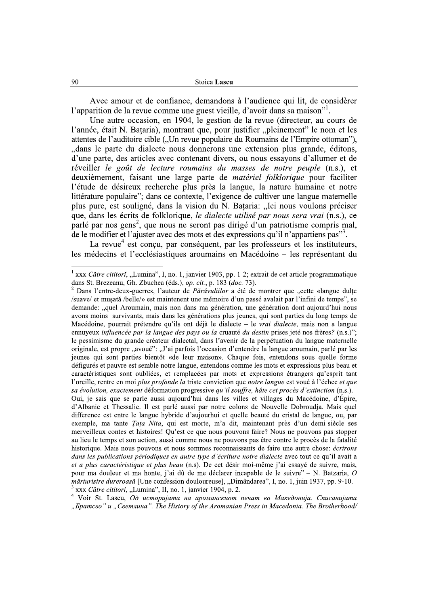Avec amour et de confiance, demandons à l'audience qui lit, de considèrer l'apparition de la revue comme une guest vieille, d'avoir dans sa maison".

Une autre occasion, en 1904, le gestion de la revue (directeur, au cours de l'année, était N. Bataria), montrant que, pour justifier "pleinement" le nom et les attentes de l'auditoire cible ("Un revue populaire du Roumains de l'Empire ottoman"), "dans le parte du dialecte nous donnerons une extension plus grande, éditons, d'une parte, des articles avec contenant divers, ou nous essayons d'allumer et de réveiller le goût de lecture roumains du masses de notre peuple (n.s.), et deuxièmement, faisant une large parte de *matériel folklorique* pour faciliter l'étude de désireux recherche plus près la langue, la nature humaine et notre littérature populaire"; dans ce contexte, l'exigence de cultiver une langue maternelle plus pure, est souligné, dans la vision du N. Bațaria: "Ici nous voulons préciser que, dans les écrits de folklorique, le dialecte utilisé par nous sera vrai (n.s.), ce parlé par nos gens<sup>2</sup>, que nous ne seront pas dirigé d'un patriotisme compris mal, de le modifier et l'ajuster avec des mots et des expressions qu'il n'appartiens pas"<sup>3</sup>.

La revue<sup>4</sup> est conçu, par conséquent, par les professeurs et les instituteurs, les médecins et l'ecclésiastiques aroumains en Macédoine – les représentant du

<sup>4</sup> Voir St. Lascu, Од историјата на ароманскиот печат во Македонија. Списанијата "Братсво" и "Светлина". The History of the Aromanian Press in Macedonia. The Brotherhood/

 $1$  xxx Către cititori, "Lumina", I, no. 1, janvier 1903, pp. 1-2; extrait de cet article programmatique dans St. Brezeanu, Gh. Zbuchea (éds.), op. cit., p. 183 (doc. 73).

Dans l'entre-deux-guerres, l'auteur de *Părăvuliilor* a été de montrer que "cette «langue dulte /suave/ et musată /belle/» est maintenent une mémoire d'un passé avalait par l'infini de temps", se demande: "quel Aroumain, mais non dans ma génération, une génération dont aujourd'hui nous avons moins survivants, mais dans les générations plus jeunes, qui sont parties du long temps de Macédoine, pourrait prétendre qu'ils ont déjà le dialecte - le vrai dialecte, mais non a langue ennuyeux influencée par la langue des pays ou la cruauté du destin prises jeté nos frères? (n.s.)"; le pessimisme du grande créateur dialectal, dans l'avenir de la perpétuation du langue maternelle originale, est propre "avoué": "J'ai parfois l'occasion d'entendre la langue aroumain, parlé par les jeunes qui sont parties bientôt «de leur maison». Chaque fois, entendons sous quelle forme défigurés et pauvre est semble notre langue, entendons comme les mots et expressions plus beau et caractéristiques sont oubliées, et remplacées par mots et expressions étrangers qu'esprit tant l'oreille, rentre en moi plus profonde la triste conviction que notre langue est voué à l'échec et que sa évolution, exactement déformation progressive qu'il souffre, hâte cet procès d'extinction (n.s.).

Qui, je sais que se parle aussi aujourd'hui dans les villes et villages du Macédoine, d'Épire, d'Albanie et Thessalie. Il est parlé aussi par notre colons de Nouvelle Dobroudja. Mais quel difference est entre le langue hybride d'aujourhui et quelle beauté du cristal de langue, ou, par exemple, ma tante Tata Nita, qui est morte, m'a dit, maintenant près d'un demi-siècle ses merveilleux contes et histoires! Qu'est ce que nous pouvons faire? Nous ne pouvons pas stopper au lieu le temps et son action, aussi comme nous ne pouvons pas être contre le procès de la fatalité historique. Mais nous pouvons et nous sommes reconnaissants de faire une autre chose: écrirons dans les publications périodiques en autre type d'écriture notre dialecte avec tout ce qu'il avait a et a plus caractéristique et plus beau (n.s). De cet désir moi-même j'ai essavé de suivre, mais, pour ma douleur et ma honte, j'ai dû de me déclarer incapable de le suivre" – N. Batzaria, O *mărturisire dureroasă* [Une confession douloureuse], "Dimândarea", I, no. 1, juin 1937, pp. 9-10. xxx Către cititori, "Lumina", II, no. 1, janvier 1904, p. 2.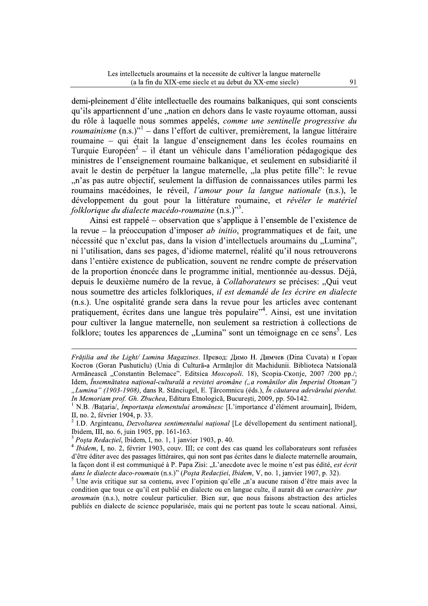demi-pleinement d'élite intellectuelle des roumains balkaniques, qui sont conscients qu'ils appartiennent d'une "nation en dehors dans le vaste royaume ottoman, aussi du rôle à laquelle nous sommes appelés, comme une sentinelle progressive du *roumainisme*  $(n,s)$ <sup>''</sup> – dans l'effort de cultiver, premièrement, la langue littéraire roumaine – qui était la langue d'enseignement dans les écoles roumains en Turquie Européen<sup>2</sup> – il étant un véhicule dans l'amélioration pédagogique des ministres de l'enseignement roumaine balkanique, et seulement en subsidiarité il avait le destin de perpétuer la langue maternelle, "la plus petite fille": le revue "n'as pas autre objectif, seulement la diffusion de connaissances utiles parmi les roumains macédoines, le réveil, l'amour pour la langue nationale (n.s.), le développement du gout pour la littérature roumaine, et révéler le matériel folklorique du dialecte macédo-roumaine (n.s.)"<sup>3</sup>.

Ainsi est rappelé – observation que s'applique à l'ensemble de l'existence de la revue – la préoccupation d'imposer *ab initio*, programmatiques et de fait, une nécessité que n'exclut pas, dans la vision d'intellectuels aroumains du "Lumina". ni l'utilisation, dans ses pages, d'idiome maternel, réalité qu'il nous retrouverons dans l'entière existence de publication, souvent ne rendre compte de préservation de la proportion énoncée dans le programme initial, mentionnée au-dessus. Déjà, depuis le deuxième numéro de la revue, à Collaborateurs se précises: "Qui veut nous soumettre des articles folkloriques, il est demandé de les écrire en dialecte (n.s.). Une ospitalité grande sera dans la revue pour les articles avec contenant pratiquement, écrites dans une langue très populaire<sup>34</sup>. Ainsi, est une invitation pour cultiver la langue maternelle, non seulement sa restriction à collections de folklore; toutes les apparences de "Lumina" sont un témoignage en ce sens<sup>5</sup>. Les

Frățilia and the Light/ Lumina Magazines. Превод: Димо Н. Димчев (Dina Cuvata) и Горан Костов (Goran Pushuticlu) (Unia di Cultura-a Armanilor dit Machidunii. Biblioteca Natsionala Armãneascã "Constantin Belemace". Editsiea Moscopoli. 18), Scopia-Ckonje, 2007 /200 pp./; Idem, Însemnătatea național-culturală a revistei aromâne ("a românilor din Imperiul Otoman") "Lumina" (1903-1908), dans R. Stănciugel, E. Târcomnicu (éds.), În căutarea adevărului pierdut. In Memoriam prof. Gh. Zbuchea, Editura Etnologică, București, 2009, pp. 50-142.

<sup>&</sup>lt;sup>1</sup> N.B. /Bațaria/, *Importanța elementului aromânesc* [L'importance d'élément aroumain], Ibidem, II, no. 2, février 1904, p. 33.

<sup>&</sup>lt;sup>2</sup> I.D. Arginteanu, *Dezvoltarea sentimentului national* [Le dévellopement du sentiment national], Ibidem, III, no. 6, juin 1905, pp. 161-163.

 $3$  Posta Redacției, Ibidem, I, no. 1, 1 janvier 1903, p. 40.

<sup>&</sup>lt;sup>4</sup> Ibidem, I, no. 2, février 1903, couv. III; ce cont des cas quand les collaborateurs sont refusées d'être éditer avec des passages littéraires, qui non sont pas écrites dans le dialecte maternelle aroumain, la facon dont il est communiqué à P. Papa Zisi: ...L'anecdote avec le moine n'est pas édité, *est écrit* dans le dialecte daco-roumain (n.s.)" (Posta Redactiei, Ibidem, V, no. 1, janvier 1907, p. 32).

Une avis critique sur sa contenu, avec l'opinion qu'elle "n'a aucune raison d'être mais avec la condition que tous ce qu'il est publié en dialecte ou en langue culte, il aurait dû *un caractère pur* aroumain (n.s.), notre couleur particulier. Bien sur, que nous faisons abstraction des articles publiés en dialecte de science popularisée, mais qui ne portent pas toute le sceau national. Ainsi,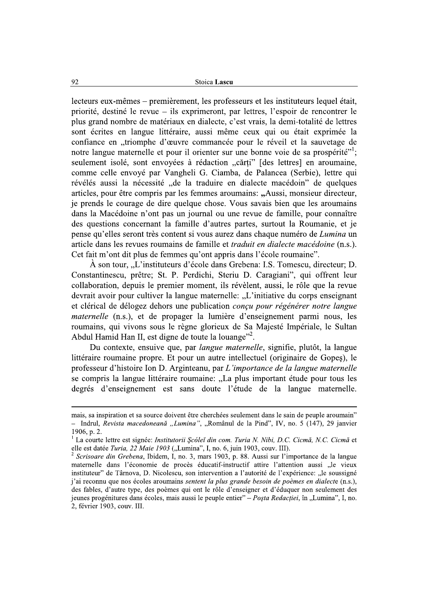lecteurs eux-mêmes – premièrement, les professeurs et les instituteurs lequel était, priorité, destiné le revue – ils exprimeront, par lettres, l'espoir de rencontrer le plus grand nombre de matériaux en dialecte, c'est vrais, la demi-totalité de lettres sont écrites en langue littéraire, aussi même ceux qui ou était exprimée la Stoica Lascu<br>
lecteurs eux-mêmes – premièrement, les professeurs et les instituteurs lequel était,<br>
priorité, destiné le revue – ils exprimeront, par lettres, l'espoir de rencontrer le<br>
plus grand nombre de matériaux en di pense qu'elles seront très content si vous aurez dans chaque numéro de Lumina un article dans les revues roumains de famille et *traduit en dialecte macédoine* (n.s.). Cet fait m'ont dit plus de femmes qu'ont appris dans l'école roumaine".

 $\hat{A}$  son tour, "L'instituteurs d'école dans Grebena: I.S. Tomescu, directeur; D. Constantinescu, prêtre; St. P. Perdichi, Steriu D. Caragiani", qui offrent leur collaboration, depuis le premier moment, ils révèlent, aussi, le rôle que la revue devrait avoir pour cultiver la langue maternelle: "L'initiative du corps enseignant et clérical de délogez dehors une publication *concu pour régénérer notre langue maternelle* (n.s.), et de propager la lumière d'enseignement parmi nous, les roumains, qui vivons sous le règne glorieux de Sa Majesté Impériale, le Sultan Abdul Hamid Han II, est digne de toute la louange"<sup>2</sup>.  $\ddot{\phantom{0}}$ 

Du contexte, ensuive que, par *langue maternelle*, signifie, plutot, la langue littéraire roumaine propre. Et pour un autre intellectuel (originaire de Gopeș), le professeur d'histoire Ion D. Arginteanu, par L'importance de la langue maternelle se compris la langue littéraire roumaine: "La plus important étude pour tous les degrés d'enseignement est sans doute l'étude de la langue maternelle.

\\\\\\\\\\\\\\\\\\\\\\\\\\\\\\\\\\\\\\\\\\\\\\\\\\\\\\\\\\\\\\\\\\\\\\\\\\\\\\\\\\\\\\\\\\\\\\\\\\\\\\\\\\\\\\\\\\\\\\\\\\\\\\\\\\\\\\\\\\\\\\\\\\\\\\\\\\\\\\\

mais, sa inspiration et sa source doivent etre cherchees seulement dans le sain de peuple aroumain? - Indrul, *Revista macedoneană* "*Lumina"*, "Romanul de la Pind", IV, no. 5 (147), 29 janvier  $1906$ , p. 2.

<sup>&</sup>lt;sup>1</sup> La courte lettre est signée: *Institutorii Șcóleĭ din com. Turia N. Nibi, D.C. Cicmă, N.C. Cicmă* et elle est datée *Turia, 22 Maie 1903* ("Lumina", I, no. 6, juin 1903, couv. III).

elle est datee Turia, 22 Maie 1903 ("Lumina", I, no. 6, juin 1903, couv. 111).<br><sup>2</sup> Scrisoare din Grebena, Ibidem, I, no. 3, mars 1903, p. 88. Aussi sur l'importance de la langue maternelle dans l'économie de procès éducatif-instructif attire l'attention aussi "le vieux instituteur" de Târnova, D. Nicolescu, son intervention a l'autorité de l'expérience: "le soussigné j'ai reconnu que nos écoles aroumains *sentent la plus grande besoin de poèmes en dialect*e (n.s.), des fables, d'autre type, des poèmes qui ont le rôle d'enseigner et d'éduquer non seulement des jeunes progénitures dans écoles, mais aussi le peuple entier" – Posta Redactiei, în "Lumina", I, no. 2, fevrier 1903, couv. III.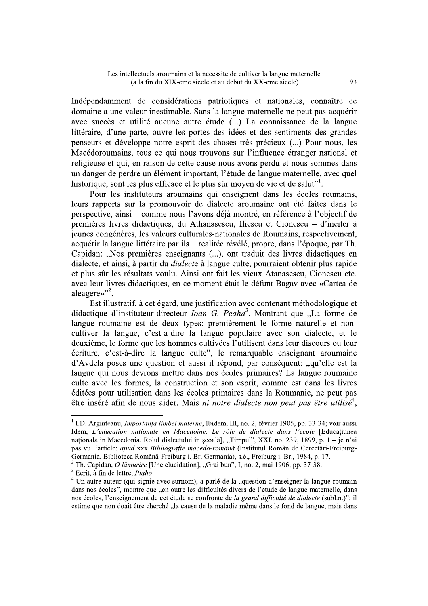Indépendamment de considérations patriotiques et nationales, connaître ce domaine a une valeur inestimable. Sans la langue maternelle ne peut pas acquérir avec succès et utilité aucune autre étude (...) La connaissance de la langue littéraire, d'une parte, ouvre les portes des idées et des sentiments des grandes penseurs et développe notre esprit des choses très précieux (...) Pour nous, les Macédoroumains, tous ce qui nous trouvons sur l'influence étranger national et religieuse et qui, en raison de cette cause nous avons perdu et nous sommes dans un danger de perdre un élément important, l'étude de langue maternelle, avec quel historique, sont les plus efficace et le plus sûr moyen de vie et de salut".

Pour les instituteurs aroumains qui enseignent dans les écoles roumains, leurs rapports sur la promouvoir de dialecte aroumaine ont été faites dans le perspective, ainsi – comme nous l'avons déjà montré, en référence à l'objectif de premières livres didactiques, du Athanasescu, Iliescu et Cionescu – d'inciter à jeunes congénères, les valeurs culturales-nationales de Roumains, respectivement, acquérir la langue littéraire par ils – realitée révélé, propre, dans l'époque, par Th. Capidan: "Nos premières enseignants (...), ont traduit des livres didactiques en dialecte, et ainsi, à partir du *dialect*e à langue culte, pourraient obtenir plus rapide et plus sûr les résultats voulu. Ainsi ont fait les vieux Atanasescu, Cionescu etc. avec leur livres didactiques, en ce moment était le défunt Bagav avec «Cartea de aleagere»"<sup>2</sup>.

Est illustratif, à cet égard, une justification avec contenant méthodologique et didactique d'instituteur-directeur *Ioan G. Peaha*<sup>3</sup>. Montrant que "La forme de langue roumaine est de deux types: premièrement le forme naturelle et noncultiver la langue, c'est-à-dire la langue populaire avec son dialecte, et le deuxième, le forme que les hommes cultivées l'utilisent dans leur discours ou leur écriture, c'est-à-dire la langue culte", le remarquable enseignant aroumaine d'Avdela poses une question et aussi il répond, par conséquent: "qu'elle est la langue qui nous devrons mettre dans nos écoles primaires? La langue roumaine culte avec les formes, la construction et son esprit, comme est dans les livres éditées pour utilisation dans les écoles primaires dans la Roumanie, ne peut pas être inséré afin de nous aider. Mais *ni notre dialecte non peut pas être utilisé*<sup>4</sup>,

<sup>&</sup>lt;sup>1</sup> I.D. Arginteanu, *Importanța limbei materne*, Ibidem, III, no. 2, février 1905, pp. 33-34; voir aussi Idem, L'éducation nationale en Macédoine. Le rôle de dialecte dans l'école [Educatiunea națională în Macedonia. Rolul dialectului în școală], "Timpul", XXI, no. 239, 1899, p. 1 – je n'ai pas vu l'article: apud xxx Bibliografie macedo-română (Institutul Român de Cercetări-Freiburg-Germania. Biblioteca Română-Freiburg i. Br. Germania), s.é., Freiburg i. Br., 1984, p. 17.

<sup>&</sup>lt;sup>2</sup> Th. Capidan, *O lămurire* [Une elucidation], "Grai bun", I, no. 2, mai 1906, pp. 37-38.

<sup>&</sup>lt;sup>3</sup> Écrit, à fin de lettre, Piaho.

 $4$  Un autre auteur (qui signie avec surnom), a parlé de la "question d'enseigner la langue roumain dans nos écoles", montre que "en outre les difficultés divers de l'etude de langue maternelle, dans nos écoles, l'enseignement de cet étude se confronte de la grand difficulté de dialecte (subl.n.)"; il estime que non doait être cherché "la cause de la maladie même dans le fond de langue, mais dans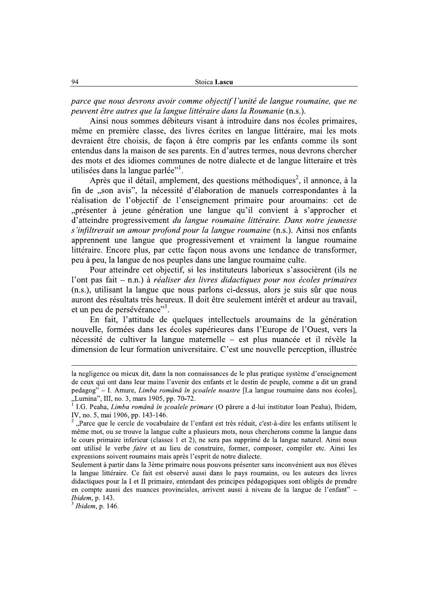| Stoica Lascu |
|--------------|
|              |

parce que nous devrons avoir comme objectif l'unité de langue roumaine, que ne peuvent être autres que la langue littéraire dans la Roumanie (n.s.).

Ainsi nous sommes débiteurs visant à introduire dans nos écoles primaires, même en première classe, des livres écrites en langue littéraire, mai les mots devraient être choisis, de façon à être compris par les enfants comme ils sont entendus dans la maison de ses parents. En d'autres termes, nous devrons chercher des mots et des idiomes communes de notre dialecte et de langue litteraire et très utilisées dans la langue parlée"<sup>1</sup>.

Après que il détail, amplement, des questions méthodiques<sup>2</sup>, il annonce, à la fin de "son avis", la nécessité d'élaboration de manuels correspondantes à la réalisation de l'objectif de l'enseignement primaire pour aroumains: cet de "présenter à jeune génération une langue qu'il convient à s'approcher et d'atteindre progressivement du langue roumaine littéraire. Dans notre jeunesse s'infiltrerait un amour profond pour la langue roumaine (n.s.). Ainsi nos enfants apprennent une langue que progressivement et vraiment la langue roumaine littéraire. Encore plus, par cette facon nous avons une tendance de transformer, peu à peu, la langue de nos peuples dans une langue roumaine culte.

Pour atteindre cet objectif, si les instituteurs laborieux s'associèrent (ils ne l'ont pas fait – n.n.) à réaliser des livres didactiques pour nos écoles primaires (n.s.), utilisant la langue que nous parlons ci-dessus, alors je suis sûr que nous auront des résultats très heureux. Il doit être seulement intérêt et ardeur au travail. et un peu de persévérance"<sup>3</sup>.

En fait, l'attitude de quelques intellectuels aroumains de la génération nouvelle, formées dans les écoles supérieures dans l'Europe de l'Ouest, vers la nécessité de cultiver la langue maternelle - est plus nuancée et il révèle la dimension de leur formation universitaire. C'est une nouvelle perception, illustrée

 $3$  Ibidem, p. 146.

la negligence ou mieux dit, dans la non connaissances de le plus pratique système d'enseignement de ceux qui ont dans leur mains l'avenir des enfants et le destin de peuple, comme a dit un grand pedagog" – I. Amure, Limba română în scoalele noastre [La langue roumaine dans nos écoles], "Lumina", III, no. 3, mars 1905, pp. 70-72.<br><sup>1</sup> I.G. Peaha, *Limba română în școalele primare* (O părere a d-lui institutor Ioan Peaha), Ibidem,

IV, no. 5, mai 1906, pp. 143-146.

<sup>&</sup>quot;Parce que le cercle de vocabulaire de l'enfant est très réduit, c'est-à-dire les enfants utilisent le même mot, ou se trouve la langue culte a plusieurs mots, nous chercherons comme la langue dans le cours primaire inferieur (classes 1 et 2), ne sera pas supprimé de la langue naturel. Ainsi nous ont utilisé le verbe *faire* et au lieu de construire, former, composer, compiler etc. Ainsi les expressions soivent roumains mais après l'esprit de notre dialecte.

Seulement à partir dans la 3ème primaire nous pouvons présenter sans inconvénient aux nos élèves la langue littéraire. Ce fait est observé aussi dans le pays roumains, ou les auteurs des livres didactiques pour la I et II primaire, entendant des principes pédagogiques sont obligés de prendre en compte aussi des nuances provinciales, arrivent aussi à niveau de la langue de l'enfant" – Ibidem, p. 143.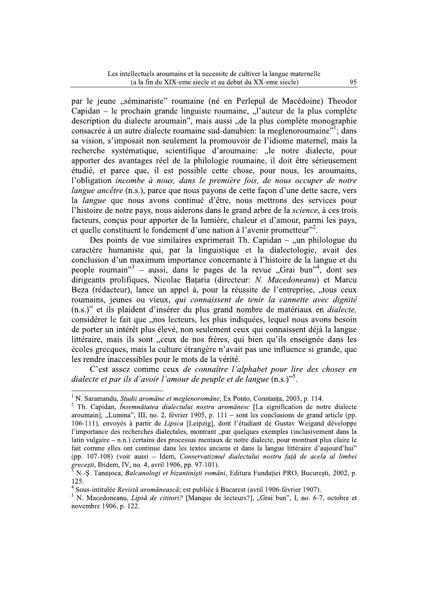par le jeune "séminariste" roumaine (né en Perlepul de Macédoine) Theodor Capidan – le prochain grande linguiste roumaine, "l'auteur de la plus complète description du dialecte aroumain", mais aussi "de la plus complète monographie consacrée à un autre dialecte roumaine sud-danubien: la meglenoroumaine" dans sa vision, s'imposait non seulement la promouvoir de l'idiome maternel, mais la recherche systématique, scientifique d'aroumaine: "le notre dialecte, pour apporter des avantages réel de la philologie roumaine, il doit être sérieusement étudié, et parce que, il est possible cette chose, pour nous, les aroumains, l'obligation incombe à nous, dans le première fois, de nous occuper de notre *langue ancêtre* (n.s.), parce que nous payons de cette façon d'une dette sacre, vers la *langue* que nous avons continué d'être, nous mettrons des services pour l'histoire de notre pays, nous aiderons dans le grand arbre de la science, à ces trois facteurs, concus pour apporter de la lumière, chaleur et d'amour, parmi les pays, et quelle constituent le fondement d'une nation à l'avenir prometteur"<sup>2</sup>.

Des points de vue similaires exprimerait Th. Capidan  $-$  , un philologue du caractère humaniste qui, par la linguistique et la dialectologie, avait des conclusion d'un maximum importance concernante à l'histoire de la langue et du people roumain" - aussi, dans le pages de la revue "Grai bun"<sup>4</sup>, dont ses dirigeants prolifiques, Nicolae Bataria (directeur: N. Macedoneanu) et Marcu Beza (rédacteur), lance un appel à, pour la réussite de l'entreprise, "tous ceux roumains, jeunes ou vieux, qui connaissent de tenir la cannette avec dignité (n.s.)" et ils plaident d'insérer du plus grand nombre de matériaux en *dialecte*, considérer le fait que "nos lecteurs, les plus indiquées, lequel nous avons besoin de porter un intérêt plus élevé, non seulement ceux qui connaissent déjà la langue littéraire, mais ils sont "ceux de nos frères, qui bien qu'ils enseignée dans les écoles grecques, mais la culture étrangère n'avait pas une influence si grande, que les rendre inaccessibles pour le mots de la vérité.

C'est assez comme ceux de connaître l'alphabet pour lire des choses en dialecte et par ils d'avoir l'amour de peuple et de langue  $(n.s.)$ ".

<sup>&</sup>lt;sup>1</sup> N. Saramandu. *Studii aromâne et meglenoromâne*. Ex Ponto. Constanta. 2003. p. 114.

<sup>&</sup>lt;sup>2</sup> Th. Capidan, *Însemnătatea dialectului nostru aromânesc* [La signification de notre dialecte aroumain], "Lumina", III, no. 2, février 1905, p.  $111 -$  sont les conclusions de grand article (pp. 106-111), envoyés à partir de Lipsca [Leipzig], dont l'étudiant de Gustav Weigand développe l'importance des recherches dialectales, montrant "par quelques exemples (inclusivement dans la latin vulgaire – n.n.) certains des processus mentaux de notre dialecte, pour montrant plus claire le fait comme elles ont continue dans les textes anciens et dans la langue littéraire d'aujourd'hui" (pp. 107-108) (voir aussi – Idem, Conservatizmul dialectului nostru față de acela al limbei grecești, Ibidem, IV, no. 4, avril 1906, pp. 97-101).

N.-S. Tanasoca, Balcanologi et bizantinisti români, Editura Fundatiei PRO, Bucuresti, 2002, p. 125.

<sup>&</sup>lt;sup>4</sup> Sous-intitulée *Revistă aromănească*; est publiée à Bucarest (avril 1906-février 1907).

N. Macedoneanu, Lipsă de cititori? [Manque de lecteurs?], "Grai bun", I, no. 6-7, octobre et novembre 1906, p. 122.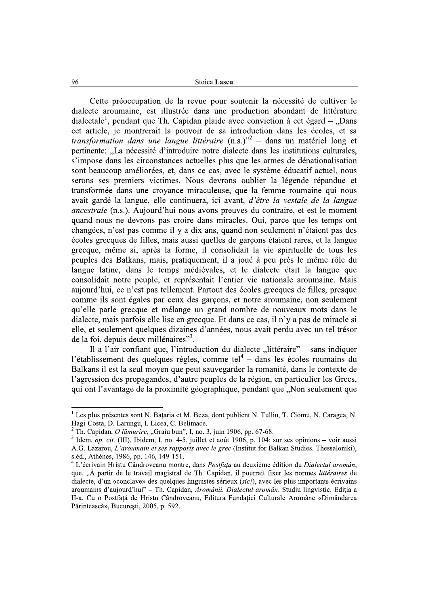Stoica Lascu

Cette préoccupation de la revue pour soutenir la nécessité de cultiver le dialecte aroumaine, est illustrée dans une production abondant de littérature dialectale<sup>1</sup>, pendant que Th. Capidan plaide avec conviction à cet égard – "Dans cet article, je montrerait la pouvoir de sa introduction dans les écoles, et sa *transformation dans une langue littéraire*  $(n.s.)^{3^2}$  – dans un matériel long et pertinente: "La nécessité d'introduire notre dialecte dans les institutions culturales, s'impose dans les circonstances actuelles plus que les armes de dénationalisation sont beaucoup améliorées, et, dans ce cas, avec le système éducatif actuel, nous serons ses premiers victimes. Nous devrons oublier la légende répandue et transformée dans une croyance miraculeuse, que la femme roumaine qui nous avait gardé la langue, elle continuera, ici avant, d'être la vestale de la langue *ancestrale* (n.s.). Aujourd'hui nous avons preuves du contraire, et est le moment quand nous ne devrons pas croire dans miracles. Oui, parce que les temps ont changées, n'est pas comme il y a dix ans, quand non seulement n'étaient pas des écoles grecques de filles, mais aussi quelles de garçons étaient rares, et la langue grecque, même si, après la forme, il consolidait la vie spirituelle de tous les peuples des Balkans, mais, pratiquement, il a joué à peu près le même rôle du langue latine, dans le temps médiévales, et le dialecte était la langue que consolidait notre peuple, et représentait l'entier vie nationale aroumaine. Mais aujourd'hui, ce n'est pas tellement. Partout des écoles grecques de filles, presque comme ils sont égales par ceux des garçons, et notre aroumaine, non seulement qu'elle parle grecque et mélange un grand nombre de nouveaux mots dans le dialecte, mais parfois elle lise en grecque. Et dans ce cas, il n'y a pas de miracle si elle, et seulement quelques dizaines d'années, nous avait perdu avec un tel trésor de la foi, depuis deux millénaires"<sup>3</sup>.

Il a l'air confiant que, l'introduction du dialecte "littéraire" – sans indiquer l'établissement des quelques règles, comme tel<sup>4</sup> – dans les écoles roumains du Balkans il est la seul moyen que peut sauvegarder la romanité, dans le contexte de l'agression des propagandes, d'autre peuples de la région, en particulier les Grecs, qui ont l'avantage de la proximité géographique, pendant que "Non seulement que

96

<sup>&</sup>lt;sup>1</sup> Les plus présentes sont N. Bataria et M. Beza, dont publient N. Tulliu, T. Ciomu, N. Caragea, N. Hagi-Costa, D. Larungu, I. Licea, C. Belimace.

 $^{2}$  Th. Capidan, *O lămurire*, "Graiu bun", I, no. 3, juin 1906, pp. 67-68.

<sup>&</sup>lt;sup>3</sup> Idem, op. cit. (III), Ibidem, I, no. 4-5, juillet et août 1906, p. 104; sur ses opinions – voir aussi A.G. Lazarou, L'aroumain et ses rapports avec le grec (Institut for Balkan Studies. Thessaloniki), s.éd., Athènes, 1986, pp. 146, 149-151.

L'écrivain Hristu Cândroveanu montre, dans Postfata au deuxième édition du Dialectul aromân, que, "À partir de le travail magistral de Th. Capidan, il pourrait fixer les normes *littéraires* de dialecte, d'un «conclave» des quelques linguistes sérieux (sic!), avec les plus importants écrivains aroumains d'aujourd'hui" - Th. Capidan, Aromânii. Dialectul aromân. Studiu lingvistic. Ediția a II-a. Cu o Postfață de Hristu Cândroveanu, Editura Fundației Culturale Aromâne «Dimândarea Părintească», București, 2005, p. 592.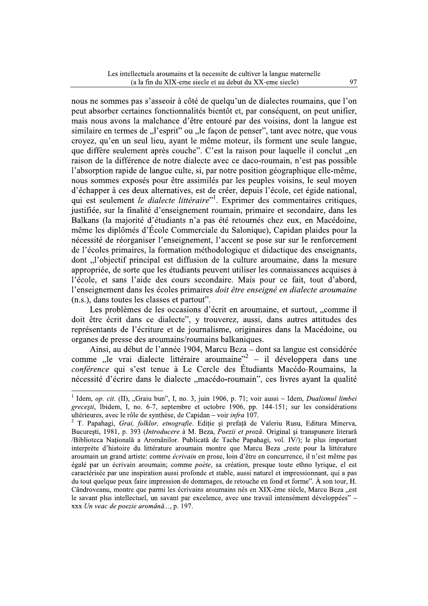nous ne sommes pas s'asseoir à côté de quelqu'un de dialectes roumains, que l'on peut absorber certaines fonctionnalités bientôt et, par conséquent, on peut unifier, mais nous avons la malchance d'être entouré par des voisins, dont la langue est similaire en termes de "l'esprit" ou "le facon de penser", tant avec notre, que vous croyez, qu'en un seul lieu, ayant le même moteur, ils forment une seule langue, que diffère seulement après couche". C'est la raison pour laquelle il conclut "en raison de la différence de notre dialecte avec ce daco-roumain, n'est pas possible l'absorption rapide de langue culte, si, par notre position géographique elle-même, nous sommes exposés pour être assimilés par les peuples voisins, le seul moyen d'échapper à ces deux alternatives, est de créer, depuis l'école, cet égide national, qui est seulement le dialecte littéraire"<sup>1</sup>. Exprimer des commentaires critiques, iustifiée, sur la finalité d'enseignement roumain, primaire et secondaire, dans les Balkans (la majorité d'étudiants n'a pas été retournés chez eux, en Macédoine, même les diplômés d'École Commerciale du Salonique), Capidan plaides pour la nécessité de réorganiser l'enseignement, l'accent se pose sur sur le renforcement de l'écoles primaires, la formation méthodologique et didactique des enseignants, dont "l'objectif principal est diffusion de la culture aroumaine, dans la mesure appropriée, de sorte que les étudiants peuvent utiliser les connaissances acquises à l'école, et sans l'aide des cours secondaire. Mais pour ce fait, tout d'abord, l'enseignement dans les écoles primaires doit être enseigné en dialecte aroumaine (n.s.), dans toutes les classes et partout".

Les problèmes de les occasions d'écrit en aroumaine, et surtout, "comme il doit être écrit dans ce dialecte", y trouverez, aussi, dans autres attitudes des représentants de l'écriture et de journalisme, originaires dans la Macédoine, ou organes de presse des aroumains/roumains balkaniques.

Ainsi, au début de l'année 1904, Marcu Beza - dont sa langue est considérée comme "le vrai dialecte littéraire aroumaine"<sup>2</sup> – il développera dans une *conférence* qui s'est tenue à Le Cercle des Étudiants Macédo-Roumains, la nécessité d'écrire dans le dialecte "macédo-roumain", ces livres ayant la qualité

<sup>&</sup>lt;sup>1</sup> Idem, op. cit. (II), "Graiu bun", I, no. 3, juin 1906, p. 71; voir aussi – Idem, *Dualismul limbei* grecești, Ibidem, I, no. 6-7, septembre et octobre 1906, pp. 144-151; sur les considérations ultérieures, avec le rôle de synthèse, de Capidan – voir infra 107.

<sup>&</sup>lt;sup>2</sup> T. Papahagi, Grai, folklor, etnografie. Ediție și prefață de Valeriu Rusu, Editura Minerva, București, 1981, p. 393 (Introducere à M. Beza, Poezii et proză. Original și transpunere literară /Biblioteca Națională a Aromânilor. Publicată de Tache Papahagi, vol. IV/); le plus important interprète d'histoire du littérature aroumain montre que Marcu Beza "reste pour la littérature aroumain un grand artiste: comme *écrivain* en prose, loin d'être en concurrence, il n'est même pas égalé par un écrivain aroumain; comme poète, sa création, presque toute ethno lyrique, el est caractérisée par une inspiration aussi profonde et stable, aussi naturel et impressionnant, qui a pas du tout quelque peux faire impression de dommages, de retouche en fond et forme". À son tour, H. Cândroveanu, montre que parmi les écrivains aroumains nés en XIX-ème siècle, Marcu Beza "est le savant plus intellectuel, un savant par excelence, avec une travail intensément développées" xxx Un veac de poezie aromână..., p. 197.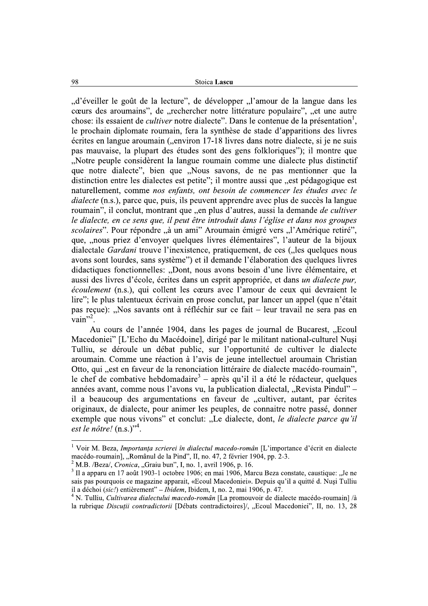"d'éveiller le goût de la lecture", de développer "l'amour de la langue dans les cœurs des aroumains", de "rechercher notre littérature populaire", "et une autre chose: ils essaient de *cultiver* notre dialecte". Dans le contenue de la présentation<sup>1</sup>, le prochain diplomate roumain, fera la synthèse de stade d'apparitions des livres écrites en langue aroumain ("environ 17-18 livres dans notre dialecte, si je ne suis pas mauvaise, la plupart des études sont des gens folkloriques"); il montre que "Notre peuple considèrent la langue roumain comme une dialecte plus distinctif que notre dialecte", bien que "Nous savons, de ne pas mentionner que la distinction entre les dialectes est petite"; il montre aussi que "est pédagogique est naturellement, comme nos enfants, ont besoin de commencer les études avec le *dialecte* (n.s.), parce que, puis, ils peuvent apprendre avec plus de succès la langue roumain", il conclut, montrant que "en plus d'autres, aussi la demande de cultiver le dialecte, en ce sens que, il peut être introduit dans l'église et dans nos groupes scolaires". Pour répondre "à un ami" Aroumain émigré vers "l'Amérique retiré", que, "nous priez d'envoyer quelques livres élémentaires", l'auteur de la bijoux dialectale *Gardani* trouve l'inexistence, pratiquement, de ces ("les quelques nous avons sont lourdes, sans système") et il demande l'élaboration des quelques livres didactiques fonctionnelles: "Dont, nous avons besoin d'une livre élémentaire, et aussi des livres d'école, écrites dans un esprit appropriée, et dans un dialecte pur, écoulement (n.s.), qui collent les cœurs avec l'amour de ceux qui devraient le lire"; le plus talentueux écrivain en prose conclut, par lancer un appel (que n'était pas reçue): "Nos savants ont à réfléchir sur ce fait – leur travail ne sera pas en  $\frac{1}{\mathrm{vain}}$ <sup>2</sup>.

Au cours de l'année 1904, dans les pages de journal de Bucarest, "Ecoul Macedoniei" [L'Echo du Macédoine], dirigé par le militant national-culturel Nusi Tulliu, se déroule un débat public, sur l'opportunité de cultiver le dialecte aroumain. Comme une réaction à l'avis de jeune intellectuel aroumain Christian Otto, qui "est en faveur de la renonciation littéraire de dialecte macédo-roumain", le chef de combative hebdomadaire<sup>3</sup> – après qu'il il a été le rédacteur, quelques années avant, comme nous l'avons vu, la publication dialectal, "Revista Pindul" – il a beaucoup des argumentations en faveur de , cultiver, autant, par écrites originaux, de dialecte, pour animer les peuples, de connaitre notre passé, donner exemple que nous vivons" et conclut: "Le dialecte, dont, le dialecte parce qu'il est le nôtre!  $(n.s.)$ <sup>34</sup>.

<sup>&</sup>lt;sup>1</sup> Voir M. Beza, *Importanța scrierei în dialectul macedo-român* [L'importance d'écrit en dialecte macédo-roumain], "Românul de la Pind", II, no. 47, 2 février 1904, pp. 2-3.

 $2$  M.B. /Beza/, Cronica, "Graiu bun", I, no. 1, avril 1906, p. 16.

<sup>&</sup>lt;sup>3</sup> Il a apparu en 17 août 1903-1 octobre 1906; en mai 1906, Marcu Beza constate, caustique: "Je ne sais pas pourquois ce magazine apparait, «Ecoul Macedoniei». Depuis qu'il a quitté d. Nusi Tulliu il a déchoi (sic!) entièrement" – Ibidem, Ibidem, I, no. 2, mai 1906, p. 47.

<sup>&</sup>lt;sup>4</sup> N. Tulliu, *Cultivarea dialectului macedo-român* [La promouvoir de dialecte macédo-roumain] /à la rubrique Discuții contradictorii [Débats contradictoires]/, "Ecoul Macedoniei", II, no. 13, 28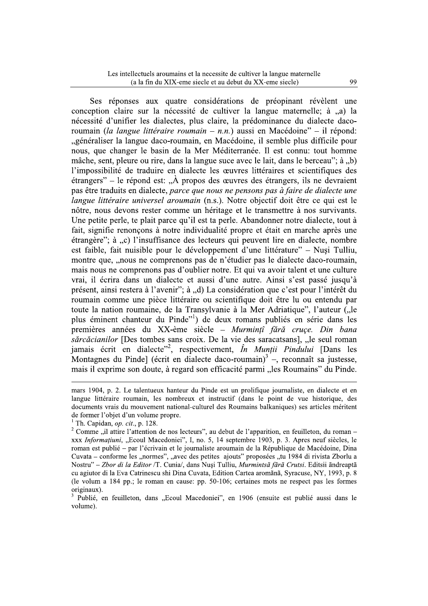Ses réponses aux quatre considérations de préopinant révèlent une conception claire sur la nécessité de cultiver la langue maternelle: à ..a) la nécessité d'unifier les dialectes, plus claire, la prédominance du dialecte dacoroumain (la langue littéraire roumain – n.n.) aussi en Macédoine" – il répond: "généraliser la langue daco-roumain, en Macédoine, il semble plus difficile pour nous, que changer le basin de la Mer Méditerranée. Il est connu: tout homme mâche, sent, pleure ou rire, dans la langue suce avec le lait, dans le berceau"; à "b) l'impossibilité de traduire en dialecte les œuvres littéraires et scientifiques des etrangers" – le répond est: " $\hat{A}$  propos des œuvres des étrangers, ils ne devraient pas être traduits en dialecte, parce que nous ne pensons pas à faire de dialecte une langue littéraire universel aroumain (n.s.). Notre objectif doit être ce qui est le nôtre, nous devons rester comme un héritage et le transmettre à nos survivants. Une petite perle, te plait parce qu'il est ta perle. Abandonner notre dialecte, tout à fait, signifie renonçons à notre individualité propre et était en marche après une étrangère"; à "c) l'insuffisance des lecteurs qui peuvent lire en dialecte, nombre est faible, fait nuisible pour le développement d'une littérature" – Nusi Tulliu, montre que, "nous ne comprenons pas de n'étudier pas le dialecte daco-roumain, mais nous ne comprenons pas d'oublier notre. Et qui va avoir talent et une culture vrai, il écrira dans un dialecte et aussi d'une autre. Ainsi s'est passé jusqu'à présent, ainsi restera à l'avenir"; à "d) La considération que c'est pour l'intérêt du roumain comme une pièce littéraire ou scientifique doit être lu ou entendu par toute la nation roumaine, de la Transylvanie à la Mer Adriatique", l'auteur ("le plus éminent chanteur du Pinde"<sup>1</sup>) de deux romans publiés en série dans les premières années du XX-ème siècle - Murmințî fără cruçe. Din bana sărcăcianilor [Des tombes sans croix. De la vie des saracatsans], "le seul roman jamais écrit en dialecte"<sup>2</sup>, respectivement, *În Munții Pindului* [Dans les Montagnes du Pinde] (écrit en dialecte daco-roumain) $3^3$  –, reconnaît sa justesse, mais il exprime son doute, à regard son efficacité parmi "les Roumains" du Pinde.

mars 1904, p. 2. Le talentueux hanteur du Pinde est un prolifique journaliste, en dialecte et en langue littéraire roumain, les nombreux et instructif (dans le point de vue historique, des documents vrais du mouvement national-culturel des Roumains balkaniques) ses articles méritent de former l'objet d'un volume propre.

<sup>&</sup>lt;sup>1</sup> Th. Capidan, *op. cit.*, p. 128.

<sup>&</sup>lt;sup>2</sup> Comme "il attire l'attention de nos lecteurs", au debut de l'apparition, en feuilleton, du roman xxx Informațiuni, "Ecoul Macedoniei", I, no. 5, 14 septembre 1903, p. 3. Apres neuf siècles, le roman est publié – par l'écrivain et le journaliste aroumain de la République de Macédoine, Dina Cuvata - conforme les "normes", "avec des petites ajouts" proposées "tu 1984 di rivista Zborlu a Nostru" – Zbor di la Editor /T. Cunia/, dans Nusi Tulliu, Murmintsã fărã Crutsi. Editsii ãndreaptã cu agiutor di la Eva Catrinescu shi Dina Cuvata, Edition Cartea aromãnã, Syracuse, NY, 1993, p. 8 (le volum a 184 pp.; le roman en cause: pp. 50-106; certaines mots ne respect pas les formes originaux).

Publié, en feuilleton, dans "Ecoul Macedoniei", en 1906 (ensuite est publié aussi dans le volume).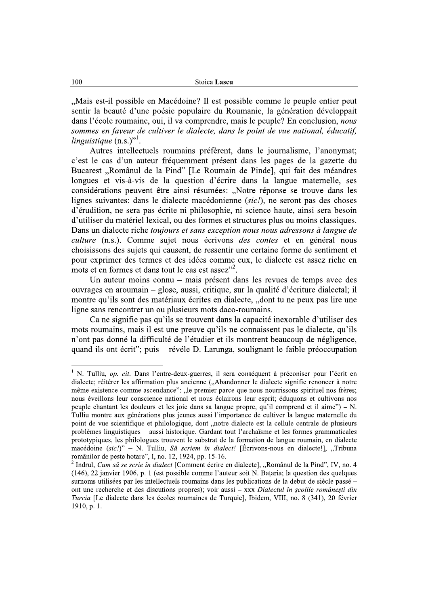"Mais est-il possible en Macédoine? Il est possible comme le peuple entier peut sentir la beauté d'une poésie populaire du Roumanie, la génération développait dans l'école roumaine, oui, il va comprendre, mais le peuple? En conclusion, nous sommes en faveur de cultiver le dialecte, dans le point de vue national, éducatif, linguistique  $(n.s.)$ <sup>''</sup>.

Autres intellectuels roumains préfèrent, dans le journalisme, l'anonymat; c'est le cas d'un auteur fréquemment présent dans les pages de la gazette du Bucarest "Românul de la Pind" [Le Roumain de Pinde], qui fait des méandres longues et vis-à-vis de la question d'écrire dans la langue maternelle, ses considérations peuvent être ainsi résumées: "Notre réponse se trouve dans les lignes suivantes: dans le dialecte macédonienne (sic!), ne seront pas des choses d'érudition, ne sera pas écrite ni philosophie, ni science haute, ainsi sera besoin d'utiliser du matériel lexical, ou des formes et structures plus ou moins classiques. Dans un dialecte riche *toujours et sans exception nous nous adressons à langue de* culture (n.s.). Comme sujet nous écrivons *des contes* et en général nous choisissons des sujets qui causent, de ressentir une certaine forme de sentiment et pour exprimer des termes et des idées comme eux, le dialecte est assez riche en mots et en formes et dans tout le cas est assez"<sup>2</sup>.

Un auteur moins connu – mais présent dans les revues de temps avec des ouvrages en aroumain – glose, aussi, critique, sur la qualité d'écriture dialectal; il montre qu'ils sont des matériaux écrites en dialecte, "dont tu ne peux pas lire une ligne sans rencontrer un ou plusieurs mots daco-roumains.

Ca ne signifie pas qu'ils se trouvent dans la capacité in exprable d'utiliser des mots roumains, mais il est une preuve qu'ils ne connaissent pas le dialecte, qu'ils n'ont pas donné la difficulté de l'étudier et ils montrent beaucoup de négligence, quand ils ont écrit"; puis – révéle D. Larunga, soulignant le faible préoccupation

<sup>&</sup>lt;sup>1</sup> N. Tulliu, op. cit. Dans l'entre-deux-guerres, il sera conséquent à préconiser pour l'écrit en dialecte; réitérer les affirmation plus ancienne ("Abandonner le dialecte signifie renoncer à notre même existence comme ascendance": "le premier parce que nous nourrissons spirituel nos frères; nous éveillons leur conscience national et nous éclairons leur esprit; éduquons et cultivons nos peuple chantant les douleurs et les joie dans sa langue propre, qu'il comprend et il aime") – N. Tulliu montre aux générations plus jeunes aussi l'importance de cultiver la langue maternelle du point de vue scientifique et philologique, dont "notre dialecte est la cellule centrale de plusieurs problèmes linguistiques – aussi historique. Gardant tout l'archaïsme et les formes grammaticales prototypiques, les philologues trouvent le substrat de la formation de langue roumain, en dialecte macédoine (sic!)" – N. Tulliu, Să scriem în dialect! [Écrivons-nous en dialecte!], "Tribuna românilor de peste hotare", I, no. 12, 1924, pp. 15-16.

<sup>&</sup>lt;sup>2</sup> Indrul, *Cum să se scrie în dialect* [Comment écrire en dialecte], "Românul de la Pind", IV, no. 4 (146), 22 janvier 1906, p. 1 (est possible comme l'auteur soit N. Bataria; la question des quelques surnoms utilisées par les intellectuels roumains dans les publications de la debut de siècle passé – ont une recherche et des discutions propres); voir aussi - xxx Dialectul în școlile românești din Turcia [Le dialecte dans les écoles roumaines de Turquie], Ibidem, VIII, no. 8 (341), 20 février 1910, p. 1.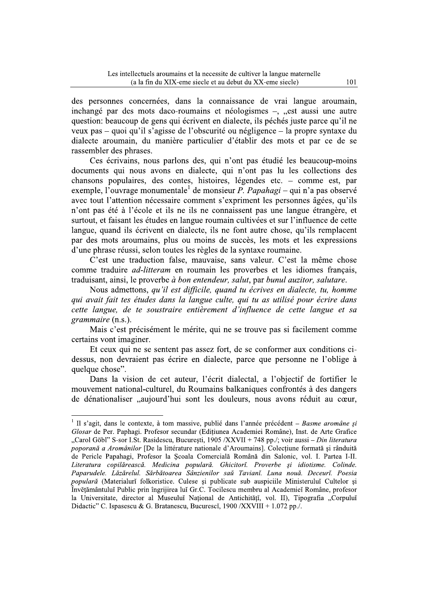des personnes concernées, dans la connaissance de vrai langue aroumain, inchangé par des mots daco-roumains et néologismes –, "est aussi une autre question: beaucoup de gens qui écrivent en dialecte, ils péchés juste parce qu'il ne veux pas – quoi qu'il s'agisse de l'obscurité ou négligence – la propre syntaxe du dialecte aroumain, du manière particulier d'établir des mots et par ce de se rassembler des phrases.

Ces écrivains, nous parlons des, qui n'ont pas étudié les beaucoup-moins documents qui nous avons en dialecte, qui n'ont pas lu les collections des chansons populaires, des contes, histoires, légendes etc. – comme est, par exemple, l'ouvrage monumentale de monsieur P. Papahagi – qui n'a pas observé avec tout l'attention nécessaire comment s'expriment les personnes âgées, qu'ils n'ont pas été à l'école et ils ne ils ne connaissent pas une langue étrangère, et surtout, et faisant les études en langue roumain cultivées et sur l'influence de cette langue, quand ils écrivent en dialecte, ils ne font autre chose, qu'ils remplacent par des mots aroumains, plus ou moins de succès, les mots et les expressions d'une phrase réussi, selon toutes les règles de la syntaxe roumaine.

C'est une traduction false, mauvaise, sans valeur. C'est la même chose comme traduire *ad-litteram* en roumain les proverbes et les idiomes français, traduisant, ainsi, le proverbe à bon entendeur, salut, par bunul auzitor, salutare.

Nous admettons, qu'il est difficile, quand tu écrives en dialecte, tu, homme qui avait fait tes études dans la langue culte, qui tu as utilisé pour écrire dans cette langue, de te soustraire entièrement d'influence de cette langue et sa grammaire (n.s.).

Mais c'est précisément le mérite, qui ne se trouve pas si facilement comme certains vont imaginer.

Et ceux qui ne se sentent pas assez fort, de se conformer aux conditions cidessus, non devraient pas écrire en dialecte, parce que personne ne l'oblige à quelque chose".

Dans la vision de cet auteur, l'écrit dialectal, a l'objectif de fortifier le mouvement national-culturel, du Roumains balkaniques confrontés à des dangers de dénationaliser "aujourd'hui sont les douleurs, nous avons réduit au cœur,

<sup>&</sup>lt;sup>1</sup> Il s'agit, dans le contexte, à tom massive, publié dans l'année précédent – Basme aromâne si Glosar de Per. Paphagi. Profesor secundar (Editiunea Academiei Române), Inst. de Arte Grafice "Carol Göbl" S-sor I.St. Rasidescu, București, 1905 /XXVII + 748 pp./; voir aussi – Din literatura poporană a Aromânilor [De la littérature nationale d'Aroumains]. Colectiune formată și rânduită de Pericle Papahagi, Profesor la Școala Comercială Română din Salonic, vol. I. Partea I-II. Literatura copilărească. Medicina populară. Ghicitorĭ. Proverbe și idiotisme. Colinde. Paparudele. Lăzărelul. Sărbătoarea Sânzienilor saŭ Tavianĭ. Luna nouă. Deceurĭ. Poesia populară (Materialuri folkoristice. Culese și publicate sub auspiciile Ministerului Cultelor și Învěțământuluĭ Public prin îngrijirea luĭ Gr.C. Tocilescu membru al Academieĭ Române, profesor la Universitate, director al Museuluĭ Național de Antichități, vol. II), Tipografia "Corpuluĭ Didactic" C. Ispasescu & G. Bratanescu, Bucuresci, 1900 /XXVIII + 1.072 pp./.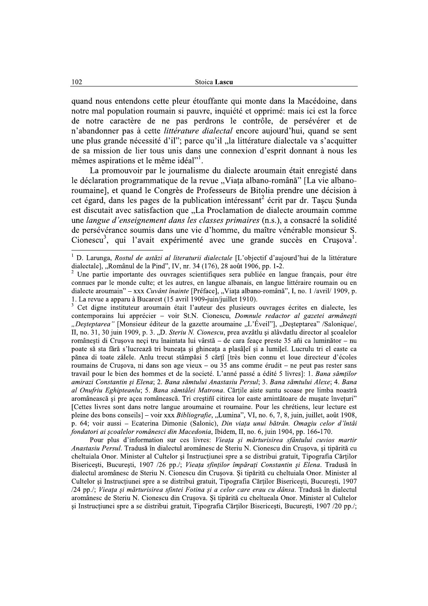quand nous entendons cette pleur étouffante qui monte dans la Macédoine, dans notre mal population roumain si pauvre, inquiété et opprimé: mais ici est la force de notre caractère de ne pas perdrons le contrôle, de persévérer et de n'abandonner pas à cette *littérature dialectal* encore aujourd'hui, quand se sent une plus grande nécessité d'il"; parce qu'il "la littérature dialectale va s'acquitter de sa mission de lier tous unis dans une connexion d'esprit donnant à nous les mêmes aspirations et le même idéal"<sup>1</sup>.

La promouvoir par le journalisme du dialecte aroumain était enregisté dans le déclaration programmatique de la revue "Viața albano-română" [La vie albanoroumaine], et quand le Congrès de Professeurs de Bitolia prendre une décision à cet égard, dans les pages de la publication intéressant<sup>2</sup> écrit par dr. Tascu Sunda est discutait avec satisfaction que "La Proclamation de dialecte aroumain comme une langue d'enseignement dans les classes primaires (n.s.), a consacré la solidité de persévérance soumis dans une vie d'homme, du maître vénérable monsieur S. Cionescu<sup>3</sup>, qui l'avait expérimenté avec une grande succès en Crusova<sup>1</sup>.

Cet digne instituteur aroumain était l'auteur des plusieurs ouvrages écrites en dialecte, les contemporains lui apprécier - voir St.N. Cionescu, Domnule redactor al gazetei armânești "Desteptarea" [Monsieur éditeur de la gazette aroumaine "L'Éveil"], "Desteptarea" /Salonique/, II, no. 31, 30 juin 1909, p. 3. "D. Steriu N. Cionescu, prea avzâtlu și alâvdatlu director al școalelor românești di Crușova neci tru înaintata lui vârstă – de cara feace preste 35 añi ca luminător – nu poate să sta fără s'lucrează tri buneața și ghineața a plasâlei și a lumilei. Lucrulu tri el easte ca pănea di toate zâlele. Anlu trecut stâmpăsi 5 cărțî [très bien connu et loue directeur d'écoles roumains de Crusova, ni dans son age vieux – ou 35 ans comme érudit – ne peut pas rester sans travail pour le bien des hommes et de la societé. L'anné passé a édité 5 livres]: 1. Bana sămtilor amirazi Constantin și Elena; 2. Bana sămtului Anastasiu Persul; 3. Bana sămtului Alexe; 4. Bana al Onufriu Eghipteanlu; 5. Bana sămtâlei Matrona. Cărțile aiste suntu scoase pre limba noastră aromânească și pre acea românească. Tri creștini citirea lor easte amintătoare de musate înveturi" [Cettes livres sont dans notre langue aroumaine et roumaine. Pour les chrétiens, leur lecture est pleine des bons conseils] – voir xxx *Bibliografie*, "Lumina", VI, no. 6, 7, 8, juin, juillet, août 1908, p. 64; voir aussi – Ecaterina Dimonie (Salonic), Din viata unui bătrân. Omagiu celor d'întâi fondatori ai scoalelor românesci din Macedonia, Ibidem, II, no. 6, juin 1904, pp. 166-170.

Pour plus d'information sur ces livres: Vieața și mărturisirea sfântului cuvios martir Anastasiu Persul. Tradusă în dialectul aromânesc de Steriu N. Cionescu din Crusova, și tipărită cu cheltuiala Onor. Minister al Cultelor și Instrucțiunei spre a se distribui gratuit, Tipografia Cărților Bisericesti, Bucuresti, 1907 /26 pp./; Vieata sfintilor împărati Constantin și Elena, Tradusă în dialectul aromânesc de Steriu N. Cionescu din Crusova. Și tipărită cu cheltuiala Onor. Minister al Cultelor și Instrucțiunei spre a se distribuì gratuit, Tipografia Cărților Bisericești, București, 1907 /24 pp./; Vieața și mărturisirea sfintei Fotina și a celor care erau cu dânsa. Tradusă în dialectul aromânesc de Steriu N. Cionescu din Crușova. Și tipărită cu cheltueala Onor. Minister al Cultelor și Instrucțiunei spre a se distribui gratuit, Tipografia Cărților Bisericești, București, 1907/20 pp./;

 $\,1\,$ D. Larunga, Rostul de astăzi al literaturii dialectale [L'objectif d'aujourd'hui de la littérature dialectale], "Românul de la Pind", IV, nr. 34 (176), 28 août 1906, pp. 1-2.

Une partie importante des ouvrages scientifiques sera publiée en langue français, pour étre connues par le monde culte; et les autres, en langue albanais, en langue littéraire roumain ou en dialecte aroumain" - xxx Cuvânt înainte [Préface], "Viața albano-română", I, no. 1 /avril/ 1909, p. 1. La revue a apparu à Bucarest (15 avril 1909-juin/juillet 1910).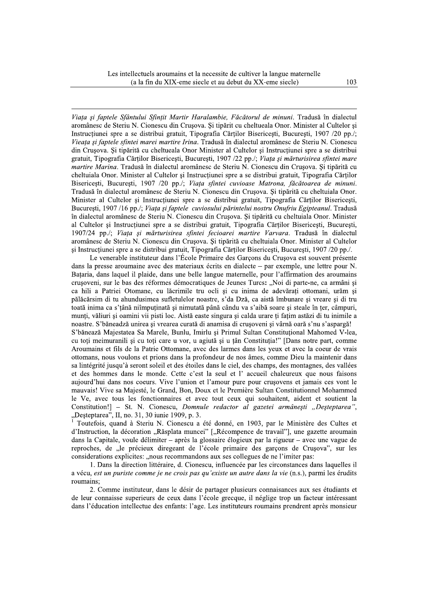Viata și faptele Sfântului Sfintit Martir Haralambie. Făcătorul de minuni. Tradusă în dialectul aromânesc de Steriu N. Cionescu din Crușova. Și tipărit cu cheltueala Onor. Minister al Cultelor și Instructiunei spre a se distribui gratuit, Tipografia Cărtilor Bisericesti, Bucuresti, 1907/20 pp./; Vieața și faptele sfintei marei martire Irina. Tradusă în dialectul aromânesc de Steriu N. Cionescu din Crușova. Și tipărită cu cheltueala Onor Minister al Cultelor și Instrucțiunei spre a se distribui gratuit, Tipografia Cărților Bisericești, București, 1907 /22 pp./; Viața și mărturisirea sfintei mare martire Marina. Tradusă în dialectul aromânesc de Steriu N. Cionescu din Crușova. Și tipărită cu cheltuiala Onor. Minister al Cultelor și Instrucțiunei spre a se distribui gratuit, Tipografia Cărților Bisericești, București, 1907 /20 pp./; Viața sfintei cuvioase Matrona, făcătoarea de minuni. Tradusă în dialectul aromânesc de Steriu N. Cionescu din Crușova. Și tipărită cu cheltuiala Onor. Minister al Cultelor și Instructiunei spre a se distribui gratuit, Tipografia Cărților Bisericești, Bucuresti, 1907/16 pp./; Viata și faptele cuviosului părintelui nostru Onufriu Egipteanul. Tradusă în dialectul aromânesc de Steriu N. Cionescu din Crușova. Și tipărită cu cheltuiala Onor. Minister al Cultelor și Instrucțiunei spre a se distribui gratuit, Tipografia Cărților Bisericești, București, 1907/24 pp./; Viața și mărturisirea sfintei fecioarei martire Varvara. Tradusă în dialectul aromânesc de Steriu N. Cionescu din Crușova. Și tipărită cu cheltuiala Onor. Minister al Cultelor si Instructiunei spre a se distribui gratuit, Tipografia Cărtilor Bisericești, București, 1907/20 pp./.

Le venerable instituteur dans l'École Primaire des Garcons du Crusova est souvent présente dans la presse aroumaine avec des materiaux écrits en dialecte – par exemple, une lettre pour N. Bataria, dans laquel il plaide, dans une belle langue maternelle, pour l'affirmation des aroumains crusoveni, sur le bas des réformes démocratiques de Jeunes Turcs: "Noi di parte-ne, ca armâni si ca hili a Patriei Otomane, cu lăcrimile tru ocli si cu inima de adevărati ottomani, urăm si pălăcărsim di tu ahundusimea sufletulelor noastre, s'da Dză, ca aistă îmbunare și vreare și di tru toată inima ca s'tână niîmputinată si nimutată până cându va s'aibă soare si steale în ter, câmpuri, munți, văliuri și oamini vii pisti loc. Aistă easte singura și calda urare ți fațim astăzi di tu inimile a noastre. S'băneadză unirea și vrearea curată di anamisa di crușoveni și vârnă oară s'nu s'aspargă! S'bănează Majestatea Sa Marele, Bunlu, Imirlu și Primul Sultan Constituțional Mahomed V-lea, cu toți meimuranili și cu toți care u vor, u agiută și u țân Constituția!" [Dans notre part, comme Aroumains et fils de la Patrie Ottomane, avec des larmes dans les yeux et avec la coeur de vrais ottomans, nous voulons et prions dans la profondeur de nos âmes, comme Dieu la maintenir dans sa lintégrité jusqu'à seront soleil et des étoiles dans le ciel, des champs, des montagnes, des vallées et des hommes dans le monde. Cette c'est la seul et l'accueil chaleureux que nous faisons aujourd'hui dans nos coeurs. Vive l'union et l'amour pure pour crusovens et jamais ces vont le mauvais! Vive sa Majesté, le Grand, Bon, Doux et le Première Sultan Constitutionnel Mohammed le Ve, avec tous les fonctionnaires et avec tout ceux qui souhaitent, aident et soutient la Constitution!] - St. N. Cionescu, Domnule redactor al gazetei armânești "Deșteptarea", "Deșteptarea", II, no. 31, 30 iunie 1909, p. 3.<br><sup>1</sup> Toutefois, quand à Steriu N. Cionescu a été donné, en 1903, par le Ministère des Cultes et

d'Instruction, la décoration "Răsplata muncei" ["Récompence de travail"], une gazette aroumain dans la Capitale, voule délimiter – après la glossaire élogieux par la rigueur – avec une vague de reproches, de "le précieux diregeant de l'école primaire des garcons de Crusova", sur les considerations explicites: "nous recommandons aux ses collegues de ne l'imiter pas:

1. Dans la direction littéraire, d. Cionescu, influencée par les circonstances dans laquelles il a vécu, est un puriste comme je ne crois pas qu'existe un autre dans la vie (n.s.), parmi les érudits roumains;

2. Comme instituteur, dans le désir de partager plusieurs connaisances aux ses étudiants et de leur connaisse superieurs de ceux dans l'école grecque, il néglige trop un facteur intéressant dans l'éducation intellectue des enfants: l'age. Les instituteurs roumains prendrent après monsieur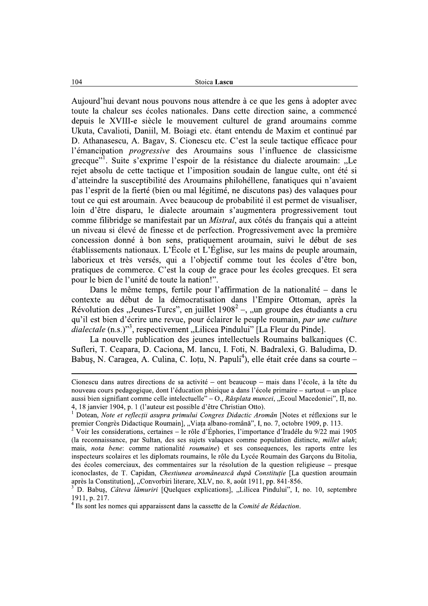Aujourd'hui devant nous pouvons nous attendre à ce que les gens à adopter avec<br>toute la chaleur ses écoles nationales. Dans cette direction saine, a commencé Stoica **Lascu**<br>
Aujourd'hui devant nous pouvons nous attendre à ce que les gens à adopter avec<br>
toute la chaleur ses écoles nationales. Dans cette direction saine, a commencé<br>
depuis le XVIII-e siècle le mouvement culturel comme filibridge se manifestait par un *Mistral*, aux côtés du français qui a atteint un niveau si élevé de finesse et de perfection. Progressivement avec la première concession donné à bon sens, pratiquement aroumain, suivi le début de ses  $\acute{a}$  etablissements nationaux. L'École et L'Église, sur les mains de peuple aroumain, laborieux et très versés, qui a l'objectif comme tout les écoles d'être bon, pratiques de commerce. C'est la coup de grace pour les écoles grecques. Et sera pour le bien de l'unité de toute la nation!".

Dans le même temps, fertile pour l'affirmation de la nationalité – dans le contexte au début de la démocratisation dans l'Empire Ottoman, après la Révolution des "Jeunes-Turcs", en juillet  $1908^2$  –, "un groupe des étudiants a cru qu'il est bien d'écrire une revue, pour éclairer le peuple roumain, par une culture  $\overline{d}$ ialectale (n.s.)"<sup>3</sup>, respectivement "Lilicea Pindului" [La Fleur du Pinde].<br>La nouvelle publication des jeunes intellectuels Roumains balkaniques (C. pratiques de commerce. C'est la coup de grace pour les écoles grecques. Et sera<br>pour le bien de l'unité de toute la nation!".<br>Dans le même temps, fertile pour l'affirmation de la nationalité – dans le<br>contexte au début de

Cionescu dans autres directions de sa activité – ont beaucoup – mais dans l'école, à la tête du nouveau cours pedagogique, dont l'éducation phisique a dans l'école primaire – surtout – un place

*dialectial* (II.S.) , respectivement , Enticea Pindular [La Frieur du Pinde].<br>
La nouvelle publication des jeunes intellectiuels Roumains balkaniques (C.<br>
Sufferi, T. Ceapara, D. Caciona, M. Iancu, I. Foti, N. Badralexi, Babus, N. Caragea, A. Culina, C. Ioțu, N. Papuli<sup>4</sup>), elle était crée dans sa courte –<br>
Cionescu dans autres directions de sa activité – ont beaucoup – mais dans l'école, à la tête du<br>
nouveau cours pedagogique, dont l'édu Cionescu dans autres directions de sa activité – ont beaucoup – mais dans l'école, à la tête du<br>nouveau cours pedagogique, dont l'éducation phisique a dans l'école primaire – surtout – un place<br>aussi bien signifiant comme Voir les considerations, certaines – le rôle d'Éphories, l'importance d'Iradéle du 9/22 mai 1905 (la reconnaissance, par Sultan, des ses sujets valaques comme population distincte, *millet ulah*; mais, nota bene: comme nationalité roumaine) et ses consequences, les raports entre les inspecteurs scolaires et les diplomats roumains, le rôle du Lycée Roumain des Garçons du Bitolia,  $\frac{1}{1}$  des écoles comerciaux, des commentaires sur la résolution de la question religieuse – presque iconoclastes, de T. Capidan, *Chestiunea aromânească după Constituție* [La question aroumain après la Constitution], "Convorbiri literare, XLV, no. 8, août 1911, pp. 841-856. premier Congrès Didactique Roumain], "Viața albano-română", I, no. 7, octobre 1909, p. 113.<br>
<sup>2</sup> Voir les considerations, certaines – le rôle d'Éphories, l'importance d'Iradéle du 9/22 mai 1905<br>
(la reconnaissance, par Su (la reconnaissance, par Sultan, des ses sujets valaques comme population distimais, *nota bene:* comme nationalité *roumain* e) et ses consequences, les r<br>inspecteurs scolaires et les diplomats roumains, le rôle du Lycée

D. Babus, *Câteva lămuriri* [Quelques explications], "Lilicea Pindului", I, no. 10, septembre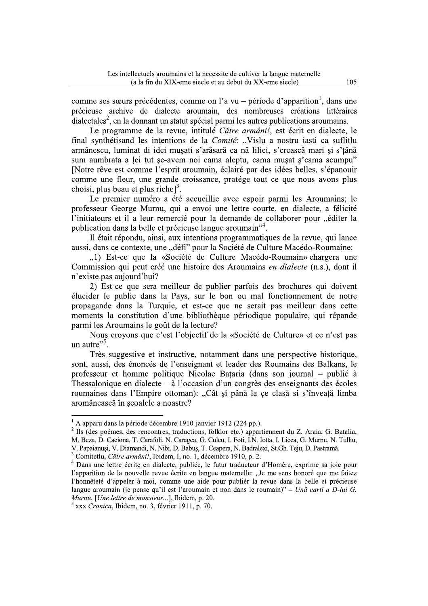comme ses sœurs précédentes, comme on l'a vu – période d'apparition<sup>1</sup>, dans une précieuse archive de dialecte aroumain, des nombreuses créations littéraires dialectales<sup>2</sup>, en la donnant un statut spécial parmi les autres publications aroumains.

Le programme de la revue, intitulé Către armâni!, est écrit en dialecte, le final synthétisand les intentions de la Comité: "Vislu a nostru iasti ca suflitlu armânescu, luminat di idei mușati s'arăsară ca nâ lilici, s'creascâ mari și-s'țână sum aumbrata a lei tut se-avem noi cama aleptu, cama musat s'cama scumpu'' [Notre rêve est comme l'esprit aroumain, éclairé par des idées belles, s'épanouir comme une fleur, une grande croissance, protége tout ce que nous avons plus choisi, plus beau et plus riche<sup>13</sup>.

Le premier numéro a été accueillie avec espoir parmi les Aroumains; le professeur George Murnu, qui a envoi une lettre courte, en dialecte, a félicité l'initiateurs et il a leur remercié pour la demande de collaborer pour "éditer la publication dans la belle et précieuse langue aroumain"<sup>4</sup>.

Il était répondu, ainsi, aux intentions programmatiques de la revue, qui lance aussi, dans ce contexte, une "défi" pour la Société de Culture Macédo-Roumaine:

"1) Est-ce que la «Société de Culture Macédo-Roumain» chargera une Commission qui peut créé une histoire des Aroumains en dialecte (n.s.), dont il n'existe pas aujourd'hui?

2) Est-ce que sera meilleur de publier parfois des brochures qui doivent élucider le public dans la Pays, sur le bon ou mal fonctionnement de notre propagande dans la Turquie, et est-ce que ne serait pas meilleur dans cette moments la constitution d'une bibliothèque périodique populaire, qui répande parmi les Aroumains le goût de la lecture?

Nous croyons que c'est l'objectif de la «Société de Culture» et ce n'est pas un autre"<sup>5</sup>.

Très suggestive et instructive, notamment dans une perspective historique, sont, aussi, des énoncés de l'enseignant et leader des Roumains des Balkans, le professeur et homme politique Nicolae Bataria (dans son journal – publié à Thessalonique en dialecte – à l'occasion d'un congrès des enseignants des écoles roumaines dans l'Empire ottoman): "Cât și până la ce clasă si s'înveață limba aromânească în școalele a noastre?

 $^{1}$  A apparu dans la période décembre 1910-janvier 1912 (224 pp.).

<sup>&</sup>lt;sup>2</sup> Ils (des poémes, des rencontres, traductions, folklor etc.) appartiennent du Z. Araia, G. Batalia, M. Beza, D. Caciona, T. Carafoli, N. Caragea, G. Culeu, I. Foti, I.N. Iotta, I. Licea, G. Murnu, N. Tulliu, V. Papaianusi, V. Diamandi, N. Nibi, D. Babus, T. Ceapera, N. Badralexi, St.Gh. Teju, D. Pastramă.

<sup>&</sup>lt;sup>3</sup> Comitetlu, *Către armâni!*, Ibidem, I, no. 1, décembre 1910, p. 2.

<sup>&</sup>lt;sup>4</sup> Dans une lettre écrite en dialecte, publiée, le futur traducteur d'Homère, exprime sa joie pour l'apparition de la nouvelle revue écrite en langue maternelle: "Je me sens honoré que me faitez l'honnêteté d'appeler à moi, comme une aide pour publiér la revue dans la belle et précieuse langue aroumain (je pense qu'il est l'aroumain et non dans le roumain)" – Ună carti a D-lui G. Murnu. [Une lettre de monsieur...], Ibidem, p. 20.

 $5$  xxx Cronica, Ibidem, no. 3, février 1911, p. 70.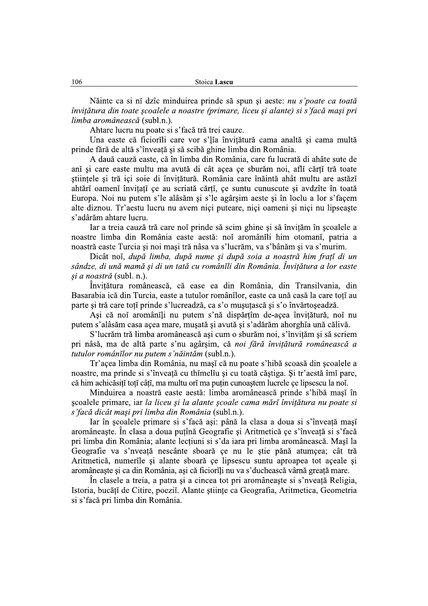Năinte ca si ni dzîc minduirea prinde să spun și aeste: nu s'poate ca toată învitătura din toate scoalele a noastre (primare, liceu și alante) și s'facă mași pri limba aromânească (subl.n.).

Ahtare lucru nu poate si s'facă tră trei cauze.

Una easte că ficiorili care vor s'lia învițătură cama analtă și cama multă prinde fără de altă s'înveată și să scibă ghine limba din România.

A dauă cauză easte, că în limba din România, care fu lucrată di ahâte sute de ani și care easte multu ma avută di cât açea çe sburăm noi, afli cărți tră toate stiințele și tră içi soie di învițătură. România care înăintă ahât multu are astăză ahtări oameni învițați ce au scriată cărți, ce suntu cunuscute și avdzîte în toată Europa. Noi nu putem s'le alâsăm și s'le agârșim aeste și în loclu a lor s'facem alte diznou. Tr'aestu lucru nu avem niçi puteare, niçi oameni și niçi nu lipseaște s'adârăm ahtare lucru.

Iar a treia cauză tră care noi prinde să scim ghine și să învițăm în școalele a noastre limba din România easte aestă: noi aromânili him otomani, patria a noastră easte Turcia și noi mași tră nâsa va s'lucrăm, va s'bânăm și va s'murim.

Dicât noi, după limba, după nume și după soia a noastră him frată di un sândze, di ună mamă și di un tată cu românĭli din România, Învitătura a lor easte și a noastră (subl. n.).

Învițătura românească, că ease ea din România, din Transilvania, din Basarabia ică din Turcia, easte a tutulor românilor, easte ca ună casă la care toți au parte și tră care toți prinde s'lucreadză, ca s'o mușuțască și s'o învărtoșeadză.

Ași că noi aromânili nu putem s'nă dispărțîm de-açea învițătură, noi nu putem s'alâsăm casa açea mare, mușată și avută și s'adărăm ahorghia ună călivă.

S'lucrăm tră limba aromânească ași cum o sburăm noi, s'învițăm și să scriem pri nâsă, ma de altă parte s'nu agârșim, că noi fără învițătură românească a tutulor românĭlor nu putem s'năintăm (subl.n.).

Tr'açea limba din România, nu mași că nu poate s'hibă scoasă din școalele a noastre, ma prinde si s'înveață cu thimeliu și cu toată căștiga. Și tr'aestă îmi pare, că him achicăsită totă câți, ma multu oră ma puțin cunoaștem lucrele ce lipsescu la noi.

Minduirea a noastră easte aestă: limba aromânească prinde s'hibă mași în scoalele primare, iar la liceu și la alante școale cama mărĭ învițătura nu poate si s'facă dicât mași pri limba din România (subl.n.).

Iar în școalele primare si s'facă ași: până la clasa a doua si s'înveață mași aromâneaste. În clasa a doua putînă Geografie și Aritmetică ce s'înveată și s'facă pri limba din România; alante lecțiuni si s'da iara pri limba aromânească. Mași la Geografie va s'nveață nescânte sboară ce nu le știe pănă atumçea; cât tră Aritmetică, numerile și alante sboară ce lipsescu suntu aproapea tot aceale și aromâneaste și ca din România, asi că ficiorili nu va s'duchească vârnă greată mare.

În clasele a treia, a patra și a cincea tot pri aromâneaste și s'nveată Religia, Istoria, bucăți de Citire, poezii. Alante științe ca Geografia, Aritmetica, Geometria si s'facă pri limba din România.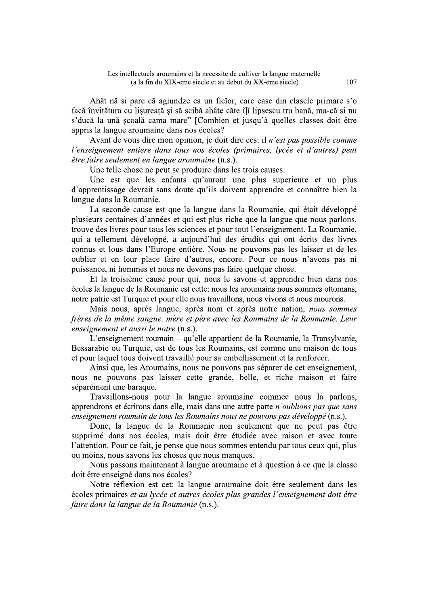Ahât nă și pare că agiundze ca un ficior, care ease din clasele primare s'o facă învitătura cu lisureată și să scibă ahâte căte îli linsescu tru bană. ma-că și nu troumains et la necessite de cultiver la langue maternelle<br>
u XIX-eme siecle et au debut du XX-eme siecle)<br>
agiundze ca un ficĭor, care ease din clasele prim<br>
ță și să scibă ahâte căte îļI lipsescu tru bană, ma-<br>
na mare" s'ducă la ună scoală cama mare" [Combien et iusqu'à quelles classes doit être appris la langue aroumaine dans nos écoles?

Avant de vous dire mon opinion, ie doit dire ces: il *n'est pas possible comme* l'enseignement entiere dans tous nos écoles (primaires, lycée et d'autres) peut  $\hat{e}$ tre faire seulement en langue aroumaine (n.s.).

Une telle chose ne peut se produire dans les trois causes.

Une est que les enfants qu'auront une plus superieure et un plus d'apprentissage devrait sans doute qu'ils doivent apprendre et connaître bien la langue dans la Roumanie.

La seconde cause est que la langue dans la Roumanie, qui était développé plusieurs centaines d'années et qui est plus riche que la langue que nous parlons. ntrouve des livres pour tous les sciences et pour tout l'enseignement. La Roumanie. qui a tellement développé, a aujourd'hui des érudits qui ont écrits des livres connus et lous dans l'Europe entière. Nous ne pouvons pas les laisser et de les oublier et en leur place faire d'autres, encore. Pour ce nous n'avons pas ni puissance, ni hommes et nous ne devons pas faire quelque chose.

Et la troisième cause pour qui, nous le savons et apprendre bien dans nos écoles la langue de la Roumanie est cette: nous les aroumains nous sommes ottomans. notre patrie est Turquie et pour elle nous travaillons, nous vivons et nous mourons.

<u>Mais nous, après langue</u>, après nom et après notre nation, *nous sommes* frères de la même sangue, mère et père avec les Roumains de la Roumanie. Leur enseignement et aussi le notre (n.s.).

 $\tilde{L}$ 'enseignement roumain – qu'elle appartient de la Roumanie, la Transvlvanie.  $\overline{B}$ essarabie ou Turquie, est de tous les Roumains, est comme une maison de tous et pour laquel tous doivent travaillé pour sa embellissement et la renforcer.

Ainsi que, les Aroumains, nous ne pouvons pas séparer de cet enseignement. nous ne pouvons pas laisser cette grande, belle, et riche maison et faire séparément une baraque.

Travaillons-nous pour la langue aroumaine commee nous la parlons. apprendrons et écrirons dans elle, mais dans une autre parte *n'oublions pas que sans* enseignement roumain de tous les Roumains nous ne pouvons pas développé (n.s.).

<u>E</u>lement du la non seulement que ne peut pas être supprimé dans nos écoles, mais doit être étudiée avec raison et avec toute  $\Gamma$  is attention. Pour ce fait, ie pense que nous sommes entendu par tous ceux qui, plus ou moins, nous savons les choses que nous manques.

Nous passons maintenant à langue aroumaine et à question à ce que la classe  $\frac{1}{2}$  doit être enseigné dans nos écoles?

Notre réflexion est cet: la langue aroumaine doit être seulement dans les écoles primaires *et au lycée et autres écoles plus grandes l'enseignement doit être* faire dans la langue de la Roumanie (n.s.).